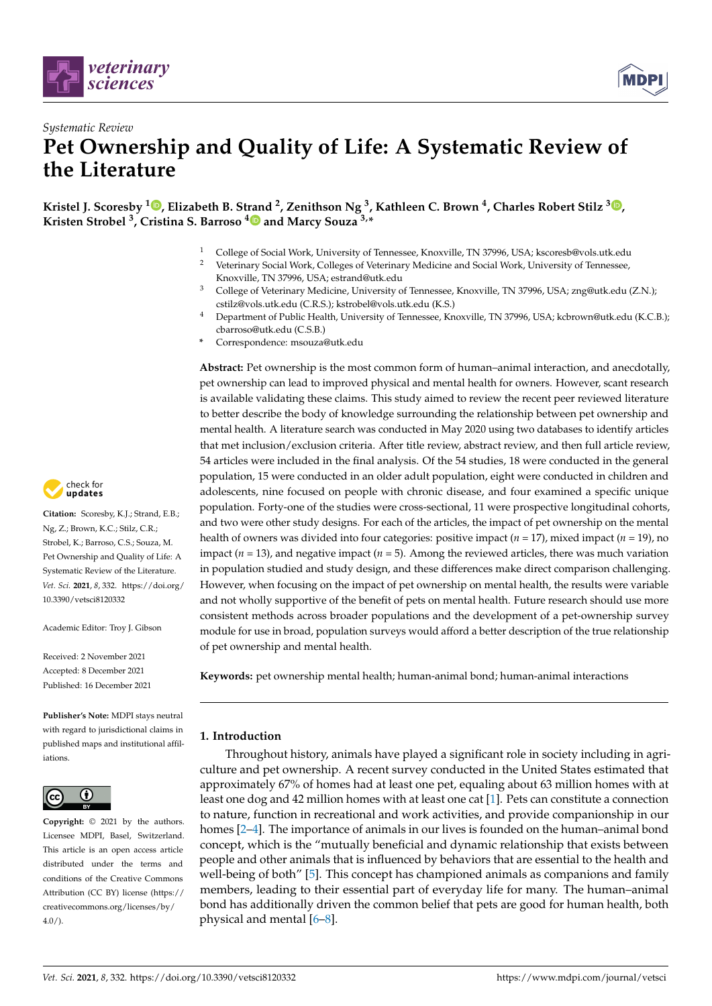



# *Systematic Review* **Pet Ownership and Quality of Life: A Systematic Review of the Literature**

**Kristel J. Scoresby <sup>1</sup> [,](https://orcid.org/0000-0002-1399-8426) Elizabeth B. Strand <sup>2</sup> , Zenithson Ng <sup>3</sup> , Kathleen C. Brown <sup>4</sup> , Charles Robert Stilz <sup>3</sup> [,](https://orcid.org/0000-0003-1318-2133) Kristen Strobel <sup>3</sup> , Cristina S. Barroso [4](https://orcid.org/0000-0002-4354-9058) and Marcy Souza 3,\***

- <sup>1</sup> College of Social Work, University of Tennessee, Knoxville, TN 37996, USA; kscoresb@vols.utk.edu
- <sup>2</sup> Veterinary Social Work, Colleges of Veterinary Medicine and Social Work, University of Tennessee, Knoxville, TN 37996, USA; estrand@utk.edu
- <sup>3</sup> College of Veterinary Medicine, University of Tennessee, Knoxville, TN 37996, USA; zng@utk.edu (Z.N.); cstilz@vols.utk.edu (C.R.S.); kstrobel@vols.utk.edu (K.S.)
- <sup>4</sup> Department of Public Health, University of Tennessee, Knoxville, TN 37996, USA; kcbrown@utk.edu (K.C.B.); cbarroso@utk.edu (C.S.B.)
- **\*** Correspondence: msouza@utk.edu

**Abstract:** Pet ownership is the most common form of human–animal interaction, and anecdotally, pet ownership can lead to improved physical and mental health for owners. However, scant research is available validating these claims. This study aimed to review the recent peer reviewed literature to better describe the body of knowledge surrounding the relationship between pet ownership and mental health. A literature search was conducted in May 2020 using two databases to identify articles that met inclusion/exclusion criteria. After title review, abstract review, and then full article review, 54 articles were included in the final analysis. Of the 54 studies, 18 were conducted in the general population, 15 were conducted in an older adult population, eight were conducted in children and adolescents, nine focused on people with chronic disease, and four examined a specific unique population. Forty-one of the studies were cross-sectional, 11 were prospective longitudinal cohorts, and two were other study designs. For each of the articles, the impact of pet ownership on the mental health of owners was divided into four categories: positive impact (*n* = 17), mixed impact (*n* = 19), no impact ( $n = 13$ ), and negative impact ( $n = 5$ ). Among the reviewed articles, there was much variation in population studied and study design, and these differences make direct comparison challenging. However, when focusing on the impact of pet ownership on mental health, the results were variable and not wholly supportive of the benefit of pets on mental health. Future research should use more consistent methods across broader populations and the development of a pet-ownership survey module for use in broad, population surveys would afford a better description of the true relationship of pet ownership and mental health.

**Keywords:** pet ownership mental health; human-animal bond; human-animal interactions

# **1. Introduction**

Throughout history, animals have played a significant role in society including in agriculture and pet ownership. A recent survey conducted in the United States estimated that approximately 67% of homes had at least one pet, equaling about 63 million homes with at least one dog and 42 million homes with at least one cat [\[1\]](#page-19-0). Pets can constitute a connection to nature, function in recreational and work activities, and provide companionship in our homes [\[2](#page-19-1)[–4\]](#page-19-2). The importance of animals in our lives is founded on the human–animal bond concept, which is the "mutually beneficial and dynamic relationship that exists between people and other animals that is influenced by behaviors that are essential to the health and well-being of both" [\[5\]](#page-19-3). This concept has championed animals as companions and family members, leading to their essential part of everyday life for many. The human–animal bond has additionally driven the common belief that pets are good for human health, both physical and mental [\[6–](#page-19-4)[8\]](#page-19-5).



**Citation:** Scoresby, K.J.; Strand, E.B.; Ng, Z.; Brown, K.C.; Stilz, C.R.; Strobel, K.; Barroso, C.S.; Souza, M. Pet Ownership and Quality of Life: A Systematic Review of the Literature. *Vet. Sci.* **2021**, *8*, 332. [https://doi.org/](https://doi.org/10.3390/vetsci8120332) [10.3390/vetsci8120332](https://doi.org/10.3390/vetsci8120332)

Academic Editor: Troy J. Gibson

Received: 2 November 2021 Accepted: 8 December 2021 Published: 16 December 2021

**Publisher's Note:** MDPI stays neutral with regard to jurisdictional claims in published maps and institutional affiliations.



**Copyright:** © 2021 by the authors. Licensee MDPI, Basel, Switzerland. This article is an open access article distributed under the terms and conditions of the Creative Commons Attribution (CC BY) license (https:/[/](https://creativecommons.org/licenses/by/4.0/) [creativecommons.org/licenses/by/](https://creativecommons.org/licenses/by/4.0/)  $4.0/$ ).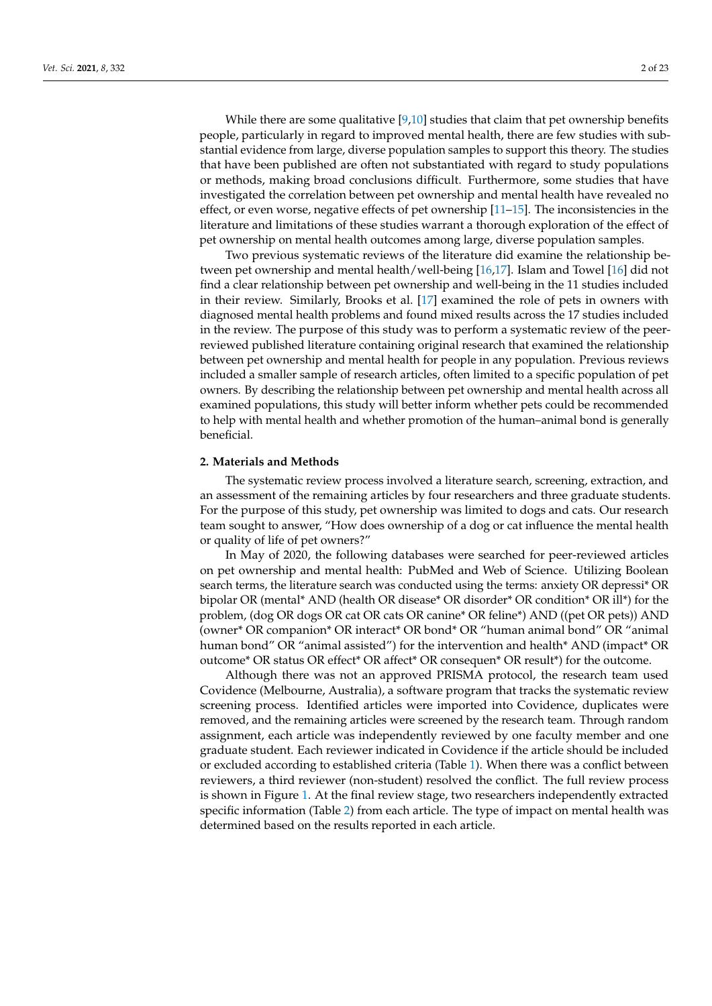While there are some qualitative  $[9,10]$  $[9,10]$  studies that claim that pet ownership benefits people, particularly in regard to improved mental health, there are few studies with substantial evidence from large, diverse population samples to support this theory. The studies that have been published are often not substantiated with regard to study populations or methods, making broad conclusions difficult. Furthermore, some studies that have investigated the correlation between pet ownership and mental health have revealed no effect, or even worse, negative effects of pet ownership  $[11-15]$  $[11-15]$ . The inconsistencies in the literature and limitations of these studies warrant a thorough exploration of the effect of pet ownership on mental health outcomes among large, diverse population samples.

Two previous systematic reviews of the literature did examine the relationship between pet ownership and mental health/well-being [\[16](#page-19-10)[,17\]](#page-19-11). Islam and Towel [\[16\]](#page-19-10) did not find a clear relationship between pet ownership and well-being in the 11 studies included in their review. Similarly, Brooks et al. [\[17\]](#page-19-11) examined the role of pets in owners with diagnosed mental health problems and found mixed results across the 17 studies included in the review. The purpose of this study was to perform a systematic review of the peerreviewed published literature containing original research that examined the relationship between pet ownership and mental health for people in any population. Previous reviews included a smaller sample of research articles, often limited to a specific population of pet owners. By describing the relationship between pet ownership and mental health across all examined populations, this study will better inform whether pets could be recommended to help with mental health and whether promotion of the human–animal bond is generally beneficial.

#### **2. Materials and Methods**

The systematic review process involved a literature search, screening, extraction, and an assessment of the remaining articles by four researchers and three graduate students. For the purpose of this study, pet ownership was limited to dogs and cats. Our research team sought to answer, "How does ownership of a dog or cat influence the mental health or quality of life of pet owners?"

In May of 2020, the following databases were searched for peer-reviewed articles on pet ownership and mental health: PubMed and Web of Science. Utilizing Boolean search terms, the literature search was conducted using the terms: anxiety OR depressi\* OR bipolar OR (mental\* AND (health OR disease\* OR disorder\* OR condition\* OR ill\*) for the problem, (dog OR dogs OR cat OR cats OR canine\* OR feline\*) AND ((pet OR pets)) AND (owner\* OR companion\* OR interact\* OR bond\* OR "human animal bond" OR "animal human bond" OR "animal assisted") for the intervention and health\* AND (impact\* OR outcome\* OR status OR effect\* OR affect\* OR consequen\* OR result\*) for the outcome.

Although there was not an approved PRISMA protocol, the research team used Covidence (Melbourne, Australia), a software program that tracks the systematic review screening process. Identified articles were imported into Covidence, duplicates were removed, and the remaining articles were screened by the research team. Through random assignment, each article was independently reviewed by one faculty member and one graduate student. Each reviewer indicated in Covidence if the article should be included or excluded according to established criteria (Table [1\)](#page-2-0). When there was a conflict between reviewers, a third reviewer (non-student) resolved the conflict. The full review process is shown in Figure [1.](#page-2-1) At the final review stage, two researchers independently extracted specific information (Table [2\)](#page-2-2) from each article. The type of impact on mental health was determined based on the results reported in each article.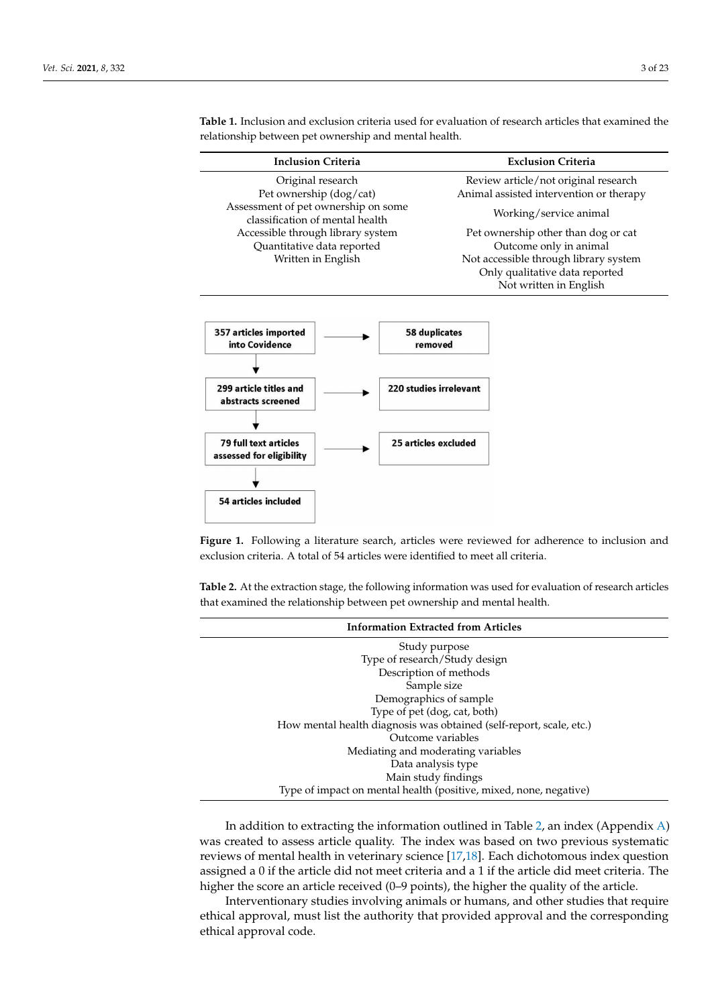<span id="page-2-1"></span>

| <b>Inclusion Criteria</b>                                                               |                                                    | <b>Exclusion Criteria</b>               |  |  |  |
|-----------------------------------------------------------------------------------------|----------------------------------------------------|-----------------------------------------|--|--|--|
| Original research                                                                       |                                                    | Review article/not original research    |  |  |  |
| Pet ownership (dog/cat)                                                                 |                                                    | Animal assisted intervention or therapy |  |  |  |
| Assessment of pet ownership on some<br>classification of mental health                  |                                                    | Working/service animal                  |  |  |  |
| Accessible through library system                                                       |                                                    | Pet ownership other than dog or cat     |  |  |  |
| Quantitative data reported                                                              |                                                    | Outcome only in animal                  |  |  |  |
| Written in English                                                                      |                                                    | Not accessible through library system   |  |  |  |
|                                                                                         |                                                    | Only qualitative data reported          |  |  |  |
|                                                                                         |                                                    | Not written in English                  |  |  |  |
| 357 articles imported<br>into Covidence<br>299 article titles and<br>abstracts screened | 58 duplicates<br>removed<br>220 studies irrelevant |                                         |  |  |  |
| <b>79 full text articles</b><br>assessed for eligibility                                | 25 articles excluded                               |                                         |  |  |  |
|                                                                                         |                                                    |                                         |  |  |  |
| 54 articles included                                                                    |                                                    |                                         |  |  |  |

<span id="page-2-0"></span>**Table 1.** Inclusion and exclusion criteria used for evaluation of research articles that examined the relationship between pet ownership and mental health.

**Figure 1.** Following a literature search, articles were reviewed for adherence to inclusion and exclusion criteria. A total of 54 articles were identified to meet all criteria.

<span id="page-2-2"></span>**Table 2.** At the extraction stage, the following information was used for evaluation of research articles that examined the relationship between pet ownership and mental health.

| <b>Information Extracted from Articles</b>                          |
|---------------------------------------------------------------------|
| Study purpose                                                       |
| Type of research/Study design                                       |
| Description of methods                                              |
| Sample size                                                         |
| Demographics of sample                                              |
| Type of pet (dog, cat, both)                                        |
| How mental health diagnosis was obtained (self-report, scale, etc.) |
| Outcome variables                                                   |
| Mediating and moderating variables                                  |
| Data analysis type                                                  |
| Main study findings                                                 |
| Type of impact on mental health (positive, mixed, none, negative)   |

In addition to extracting the information outlined in Table [2,](#page-2-2) an index (Appendix [A\)](#page-9-0) was created to assess article quality. The index was based on two previous systematic reviews of mental health in veterinary science [\[17](#page-19-11)[,18\]](#page-19-12). Each dichotomous index question assigned a 0 if the article did not meet criteria and a 1 if the article did meet criteria. The higher the score an article received (0-9 points), the higher the quality of the article.

Interventionary studies involving animals or humans, and other studies that require ethical approval, must list the authority that provided approval and the corresponding ethical approval code.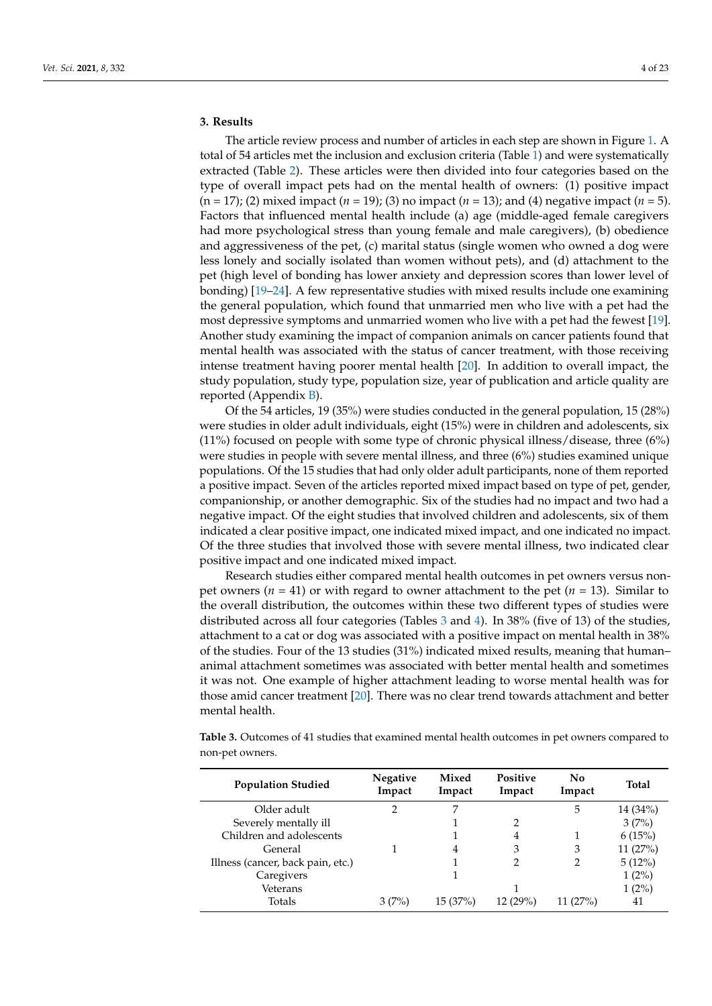# **3. Results**

The article review process and number of articles in each step are shown in Figure [1.](#page-2-1) A total of 54 articles met the inclusion and exclusion criteria (Table [1\)](#page-2-0) and were systematically extracted (Table [2\)](#page-2-2). These articles were then divided into four categories based on the type of overall impact pets had on the mental health of owners: (1) positive impact (n = 17); (2) mixed impact (*n* = 19); (3) no impact (*n* = 13); and (4) negative impact (*n* = 5). Factors that influenced mental health include (a) age (middle-aged female caregivers had more psychological stress than young female and male caregivers), (b) obedience and aggressiveness of the pet, (c) marital status (single women who owned a dog were less lonely and socially isolated than women without pets), and (d) attachment to the pet (high level of bonding has lower anxiety and depression scores than lower level of bonding) [\[19](#page-19-13)[–24\]](#page-19-14). A few representative studies with mixed results include one examining the general population, which found that unmarried men who live with a pet had the most depressive symptoms and unmarried women who live with a pet had the fewest [\[19\]](#page-19-13). Another study examining the impact of companion animals on cancer patients found that mental health was associated with the status of cancer treatment, with those receiving intense treatment having poorer mental health [\[20\]](#page-19-15). In addition to overall impact, the study population, study type, population size, year of publication and article quality are reported (Appendix [B\)](#page-9-1).

Of the 54 articles, 19 (35%) were studies conducted in the general population, 15 (28%) were studies in older adult individuals, eight (15%) were in children and adolescents, six (11%) focused on people with some type of chronic physical illness/disease, three (6%) were studies in people with severe mental illness, and three (6%) studies examined unique populations. Of the 15 studies that had only older adult participants, none of them reported a positive impact. Seven of the articles reported mixed impact based on type of pet, gender, companionship, or another demographic. Six of the studies had no impact and two had a negative impact. Of the eight studies that involved children and adolescents, six of them indicated a clear positive impact, one indicated mixed impact, and one indicated no impact. Of the three studies that involved those with severe mental illness, two indicated clear positive impact and one indicated mixed impact.

Research studies either compared mental health outcomes in pet owners versus nonpet owners (*n* = 41) or with regard to owner attachment to the pet (*n* = 13). Similar to the overall distribution, the outcomes within these two different types of studies were distributed across all four categories (Tables [3](#page-3-0) and [4\)](#page-4-0). In 38% (five of 13) of the studies, attachment to a cat or dog was associated with a positive impact on mental health in 38% of the studies. Four of the 13 studies (31%) indicated mixed results, meaning that human– animal attachment sometimes was associated with better mental health and sometimes it was not. One example of higher attachment leading to worse mental health was for those amid cancer treatment [\[20\]](#page-19-15). There was no clear trend towards attachment and better mental health.

<span id="page-3-0"></span>**Table 3.** Outcomes of 41 studies that examined mental health outcomes in pet owners compared to non-pet owners.

| <b>Population Studied</b>         | <b>Negative</b><br>Impact | Mixed<br>Impact | Positive<br>Impact | No<br>Impact | <b>Total</b> |
|-----------------------------------|---------------------------|-----------------|--------------------|--------------|--------------|
| Older adult                       | 2                         | 7               |                    | 5            | $14(34\%)$   |
| Severely mentally ill             |                           |                 | 2                  |              | 3(7%)        |
| Children and adolescents          |                           |                 | 4                  |              | 6(15%)       |
| General                           |                           | 4               | 3                  | 3            | 11(27%)      |
| Illness (cancer, back pain, etc.) |                           |                 | 2                  | 2            | 5(12%)       |
| Caregivers                        |                           |                 |                    |              | $1(2\%)$     |
| Veterans                          |                           |                 |                    |              | $1(2\%)$     |
| Totals                            | 3(7%)                     | 15 (37%)        | 12 (29%)           | 11(27%)      | 41           |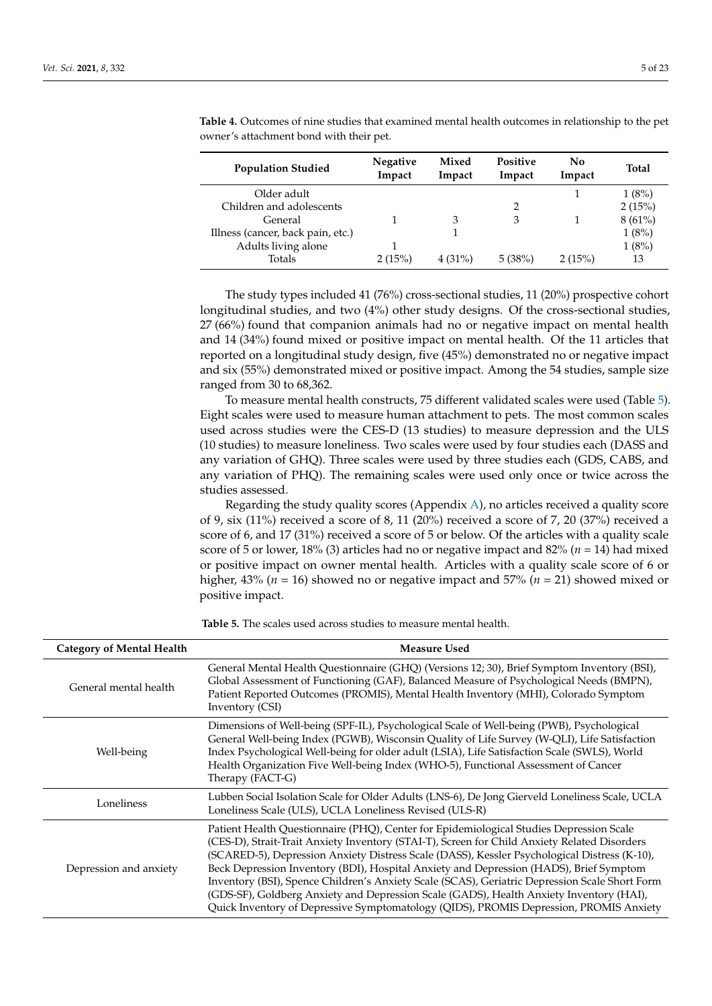| <b>Population Studied</b>         | <b>Negative</b><br>Impact | Mixed<br>Impact | <b>Positive</b><br>Impact | No<br>Impact | <b>Total</b> |
|-----------------------------------|---------------------------|-----------------|---------------------------|--------------|--------------|
| Older adult                       |                           |                 |                           |              | 1(8%)        |
| Children and adolescents          |                           |                 | 2                         |              | 2(15%)       |
| General                           |                           | 3               | 3                         |              | $8(61\%)$    |
| Illness (cancer, back pain, etc.) |                           |                 |                           |              | 1(8%)        |
| Adults living alone               |                           |                 |                           |              | 1(8%)        |
| Totals                            | 2(15%)                    | $4(31\%)$       | 5(38%)                    | 2(15%)       | 13           |

<span id="page-4-0"></span>**Table 4.** Outcomes of nine studies that examined mental health outcomes in relationship to the pet owner's attachment bond with their pet.

The study types included 41 (76%) cross-sectional studies, 11 (20%) prospective cohort longitudinal studies, and two (4%) other study designs. Of the cross-sectional studies, 27 (66%) found that companion animals had no or negative impact on mental health and 14 (34%) found mixed or positive impact on mental health. Of the 11 articles that reported on a longitudinal study design, five (45%) demonstrated no or negative impact and six (55%) demonstrated mixed or positive impact. Among the 54 studies, sample size ranged from 30 to 68,362.

To measure mental health constructs, 75 different validated scales were used (Table [5\)](#page-5-0). Eight scales were used to measure human attachment to pets. The most common scales used across studies were the CES-D (13 studies) to measure depression and the ULS (10 studies) to measure loneliness. Two scales were used by four studies each (DASS and any variation of GHQ). Three scales were used by three studies each (GDS, CABS, and any variation of PHQ). The remaining scales were used only once or twice across the studies assessed.

Regarding the study quality scores (Appendix [A\)](#page-9-0), no articles received a quality score of 9, six (11%) received a score of 8, 11 (20%) received a score of 7, 20 (37%) received a score of 6, and 17 (31%) received a score of 5 or below. Of the articles with a quality scale score of 5 or lower, 18% (3) articles had no or negative impact and 82% (*n* = 14) had mixed or positive impact on owner mental health. Articles with a quality scale score of 6 or higher, 43% (*n* = 16) showed no or negative impact and 57% (*n* = 21) showed mixed or positive impact.

Category of Mental Health Measure Used General mental health General Mental Health Questionnaire (GHQ) (Versions 12; 30), Brief Symptom Inventory (BSI), Global Assessment of Functioning (GAF), Balanced Measure of Psychological Needs (BMPN), Patient Reported Outcomes (PROMIS), Mental Health Inventory (MHI), Colorado Symptom Inventory (CSI) Well-being Dimensions of Well-being (SPF-IL), Psychological Scale of Well-being (PWB), Psychological General Well-being Index (PGWB), Wisconsin Quality of Life Survey (W-QLI), Life Satisfaction Index Psychological Well-being for older adult (LSIA), Life Satisfaction Scale (SWLS), World Health Organization Five Well-being Index (WHO-5), Functional Assessment of Cancer Therapy (FACT-G) Loneliness Lubben Social Isolation Scale for Older Adults (LNS-6), De Jong Gierveld Loneliness Scale, UCLA Loneliness Scale (ULS), UCLA Loneliness Revised (ULS-R) Depression and anxiety Patient Health Questionnaire (PHQ), Center for Epidemiological Studies Depression Scale (CES-D), Strait-Trait Anxiety Inventory (STAI-T), Screen for Child Anxiety Related Disorders (SCARED-5), Depression Anxiety Distress Scale (DASS), Kessler Psychological Distress (K-10), Beck Depression Inventory (BDI), Hospital Anxiety and Depression (HADS), Brief Symptom Inventory (BSI), Spence Children's Anxiety Scale (SCAS), Geriatric Depression Scale Short Form (GDS-SF), Goldberg Anxiety and Depression Scale (GADS), Health Anxiety Inventory (HAI), Quick Inventory of Depressive Symptomatology (QIDS), PROMIS Depression, PROMIS Anxiety

**Table 5.** The scales used across studies to measure mental health.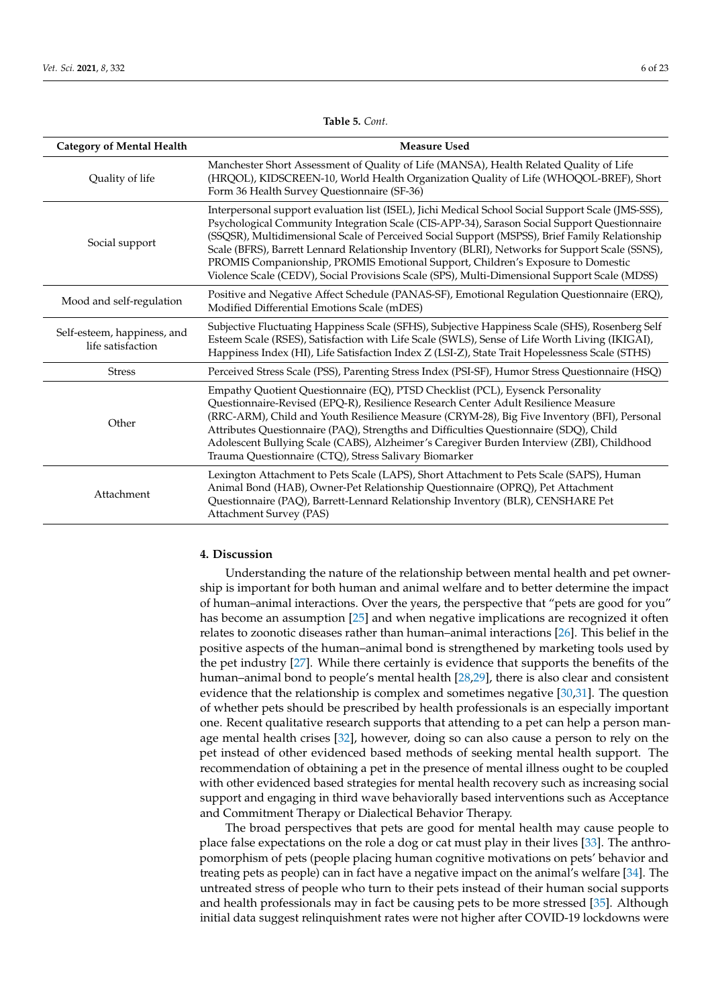<span id="page-5-0"></span>

| <b>Category of Mental Health</b>                 | <b>Measure Used</b>                                                                                                                                                                                                                                                                                                                                                                                                                                                                                                                                                                        |
|--------------------------------------------------|--------------------------------------------------------------------------------------------------------------------------------------------------------------------------------------------------------------------------------------------------------------------------------------------------------------------------------------------------------------------------------------------------------------------------------------------------------------------------------------------------------------------------------------------------------------------------------------------|
| Quality of life                                  | Manchester Short Assessment of Quality of Life (MANSA), Health Related Quality of Life<br>(HRQOL), KIDSCREEN-10, World Health Organization Quality of Life (WHOQOL-BREF), Short<br>Form 36 Health Survey Questionnaire (SF-36)                                                                                                                                                                                                                                                                                                                                                             |
| Social support                                   | Interpersonal support evaluation list (ISEL), Jichi Medical School Social Support Scale (JMS-SSS),<br>Psychological Community Integration Scale (CIS-APP-34), Sarason Social Support Questionnaire<br>(SSQSR), Multidimensional Scale of Perceived Social Support (MSPSS), Brief Family Relationship<br>Scale (BFRS), Barrett Lennard Relationship Inventory (BLRI), Networks for Support Scale (SSNS),<br>PROMIS Companionship, PROMIS Emotional Support, Children's Exposure to Domestic<br>Violence Scale (CEDV), Social Provisions Scale (SPS), Multi-Dimensional Support Scale (MDSS) |
| Mood and self-regulation                         | Positive and Negative Affect Schedule (PANAS-SF), Emotional Regulation Questionnaire (ERQ),<br>Modified Differential Emotions Scale (mDES)                                                                                                                                                                                                                                                                                                                                                                                                                                                 |
| Self-esteem, happiness, and<br>life satisfaction | Subjective Fluctuating Happiness Scale (SFHS), Subjective Happiness Scale (SHS), Rosenberg Self<br>Esteem Scale (RSES), Satisfaction with Life Scale (SWLS), Sense of Life Worth Living (IKIGAI),<br>Happiness Index (HI), Life Satisfaction Index Z (LSI-Z), State Trait Hopelessness Scale (STHS)                                                                                                                                                                                                                                                                                        |
| <b>Stress</b>                                    | Perceived Stress Scale (PSS), Parenting Stress Index (PSI-SF), Humor Stress Questionnaire (HSQ)                                                                                                                                                                                                                                                                                                                                                                                                                                                                                            |
| Other                                            | Empathy Quotient Questionnaire (EQ), PTSD Checklist (PCL), Eysenck Personality<br>Questionnaire-Revised (EPQ-R), Resilience Research Center Adult Resilience Measure<br>(RRC-ARM), Child and Youth Resilience Measure (CRYM-28), Big Five Inventory (BFI), Personal<br>Attributes Questionnaire (PAQ), Strengths and Difficulties Questionnaire (SDQ), Child<br>Adolescent Bullying Scale (CABS), Alzheimer's Caregiver Burden Interview (ZBI), Childhood<br>Trauma Questionnaire (CTQ), Stress Salivary Biomarker                                                                         |
| Attachment                                       | Lexington Attachment to Pets Scale (LAPS), Short Attachment to Pets Scale (SAPS), Human<br>Animal Bond (HAB), Owner-Pet Relationship Questionnaire (OPRQ), Pet Attachment<br>Questionnaire (PAQ), Barrett-Lennard Relationship Inventory (BLR), CENSHARE Pet<br><b>Attachment Survey (PAS)</b>                                                                                                                                                                                                                                                                                             |

**Table 5.** *Cont.*

## **4. Discussion**

Understanding the nature of the relationship between mental health and pet ownership is important for both human and animal welfare and to better determine the impact of human–animal interactions. Over the years, the perspective that "pets are good for you" has become an assumption [\[25\]](#page-19-16) and when negative implications are recognized it often relates to zoonotic diseases rather than human–animal interactions [\[26\]](#page-19-17). This belief in the positive aspects of the human–animal bond is strengthened by marketing tools used by the pet industry [\[27\]](#page-19-18). While there certainly is evidence that supports the benefits of the human–animal bond to people's mental health [\[28](#page-19-19)[,29\]](#page-19-20), there is also clear and consistent evidence that the relationship is complex and sometimes negative [\[30](#page-20-0)[,31\]](#page-20-1). The question of whether pets should be prescribed by health professionals is an especially important one. Recent qualitative research supports that attending to a pet can help a person manage mental health crises [\[32\]](#page-20-2), however, doing so can also cause a person to rely on the pet instead of other evidenced based methods of seeking mental health support. The recommendation of obtaining a pet in the presence of mental illness ought to be coupled with other evidenced based strategies for mental health recovery such as increasing social support and engaging in third wave behaviorally based interventions such as Acceptance and Commitment Therapy or Dialectical Behavior Therapy.

The broad perspectives that pets are good for mental health may cause people to place false expectations on the role a dog or cat must play in their lives [\[33\]](#page-20-3). The anthropomorphism of pets (people placing human cognitive motivations on pets' behavior and treating pets as people) can in fact have a negative impact on the animal's welfare [\[34\]](#page-20-4). The untreated stress of people who turn to their pets instead of their human social supports and health professionals may in fact be causing pets to be more stressed [\[35\]](#page-20-5). Although initial data suggest relinquishment rates were not higher after COVID-19 lockdowns were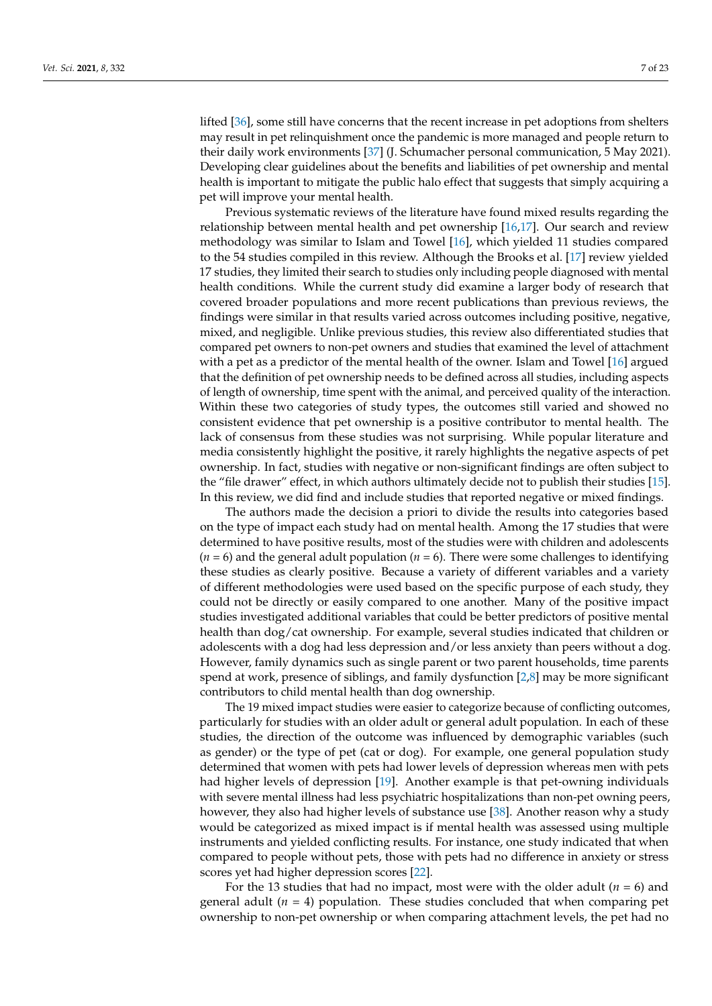lifted [\[36\]](#page-20-6), some still have concerns that the recent increase in pet adoptions from shelters may result in pet relinquishment once the pandemic is more managed and people return to their daily work environments [\[37\]](#page-20-7) (J. Schumacher personal communication, 5 May 2021). Developing clear guidelines about the benefits and liabilities of pet ownership and mental health is important to mitigate the public halo effect that suggests that simply acquiring a pet will improve your mental health.

Previous systematic reviews of the literature have found mixed results regarding the relationship between mental health and pet ownership [\[16,](#page-19-10)[17\]](#page-19-11). Our search and review methodology was similar to Islam and Towel [\[16\]](#page-19-10), which yielded 11 studies compared to the 54 studies compiled in this review. Although the Brooks et al. [\[17\]](#page-19-11) review yielded 17 studies, they limited their search to studies only including people diagnosed with mental health conditions. While the current study did examine a larger body of research that covered broader populations and more recent publications than previous reviews, the findings were similar in that results varied across outcomes including positive, negative, mixed, and negligible. Unlike previous studies, this review also differentiated studies that compared pet owners to non-pet owners and studies that examined the level of attachment with a pet as a predictor of the mental health of the owner. Islam and Towel [\[16\]](#page-19-10) argued that the definition of pet ownership needs to be defined across all studies, including aspects of length of ownership, time spent with the animal, and perceived quality of the interaction. Within these two categories of study types, the outcomes still varied and showed no consistent evidence that pet ownership is a positive contributor to mental health. The lack of consensus from these studies was not surprising. While popular literature and media consistently highlight the positive, it rarely highlights the negative aspects of pet ownership. In fact, studies with negative or non-significant findings are often subject to the "file drawer" effect, in which authors ultimately decide not to publish their studies [\[15\]](#page-19-9). In this review, we did find and include studies that reported negative or mixed findings.

The authors made the decision a priori to divide the results into categories based on the type of impact each study had on mental health. Among the 17 studies that were determined to have positive results, most of the studies were with children and adolescents  $(n = 6)$  and the general adult population  $(n = 6)$ . There were some challenges to identifying these studies as clearly positive. Because a variety of different variables and a variety of different methodologies were used based on the specific purpose of each study, they could not be directly or easily compared to one another. Many of the positive impact studies investigated additional variables that could be better predictors of positive mental health than dog/cat ownership. For example, several studies indicated that children or adolescents with a dog had less depression and/or less anxiety than peers without a dog. However, family dynamics such as single parent or two parent households, time parents spend at work, presence of siblings, and family dysfunction [\[2](#page-19-1)[,8\]](#page-19-5) may be more significant contributors to child mental health than dog ownership.

The 19 mixed impact studies were easier to categorize because of conflicting outcomes, particularly for studies with an older adult or general adult population. In each of these studies, the direction of the outcome was influenced by demographic variables (such as gender) or the type of pet (cat or dog). For example, one general population study determined that women with pets had lower levels of depression whereas men with pets had higher levels of depression [\[19\]](#page-19-13). Another example is that pet-owning individuals with severe mental illness had less psychiatric hospitalizations than non-pet owning peers, however, they also had higher levels of substance use [\[38\]](#page-20-8). Another reason why a study would be categorized as mixed impact is if mental health was assessed using multiple instruments and yielded conflicting results. For instance, one study indicated that when compared to people without pets, those with pets had no difference in anxiety or stress scores yet had higher depression scores [\[22\]](#page-19-21).

For the 13 studies that had no impact, most were with the older adult (*n* = 6) and general adult  $(n = 4)$  population. These studies concluded that when comparing pet ownership to non-pet ownership or when comparing attachment levels, the pet had no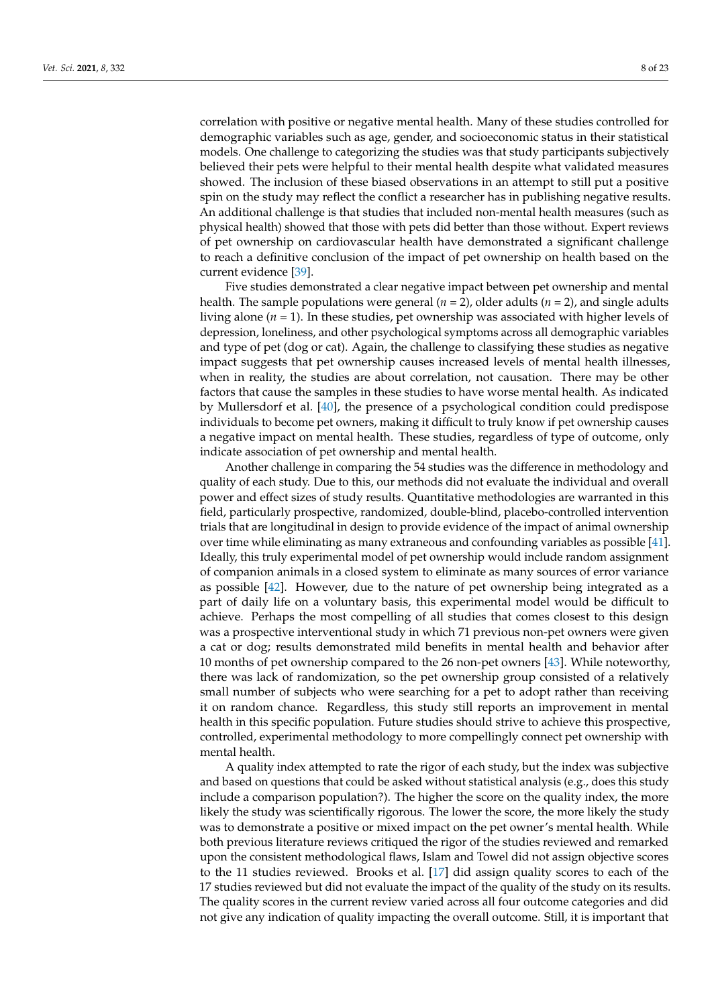correlation with positive or negative mental health. Many of these studies controlled for demographic variables such as age, gender, and socioeconomic status in their statistical models. One challenge to categorizing the studies was that study participants subjectively believed their pets were helpful to their mental health despite what validated measures showed. The inclusion of these biased observations in an attempt to still put a positive spin on the study may reflect the conflict a researcher has in publishing negative results. An additional challenge is that studies that included non-mental health measures (such as physical health) showed that those with pets did better than those without. Expert reviews of pet ownership on cardiovascular health have demonstrated a significant challenge to reach a definitive conclusion of the impact of pet ownership on health based on the current evidence [\[39\]](#page-20-9).

Five studies demonstrated a clear negative impact between pet ownership and mental health. The sample populations were general  $(n = 2)$ , older adults  $(n = 2)$ , and single adults living alone  $(n = 1)$ . In these studies, pet ownership was associated with higher levels of depression, loneliness, and other psychological symptoms across all demographic variables and type of pet (dog or cat). Again, the challenge to classifying these studies as negative impact suggests that pet ownership causes increased levels of mental health illnesses, when in reality, the studies are about correlation, not causation. There may be other factors that cause the samples in these studies to have worse mental health. As indicated by Mullersdorf et al. [\[40\]](#page-20-10), the presence of a psychological condition could predispose individuals to become pet owners, making it difficult to truly know if pet ownership causes a negative impact on mental health. These studies, regardless of type of outcome, only indicate association of pet ownership and mental health.

Another challenge in comparing the 54 studies was the difference in methodology and quality of each study. Due to this, our methods did not evaluate the individual and overall power and effect sizes of study results. Quantitative methodologies are warranted in this field, particularly prospective, randomized, double-blind, placebo-controlled intervention trials that are longitudinal in design to provide evidence of the impact of animal ownership over time while eliminating as many extraneous and confounding variables as possible [\[41\]](#page-20-11). Ideally, this truly experimental model of pet ownership would include random assignment of companion animals in a closed system to eliminate as many sources of error variance as possible [\[42\]](#page-20-12). However, due to the nature of pet ownership being integrated as a part of daily life on a voluntary basis, this experimental model would be difficult to achieve. Perhaps the most compelling of all studies that comes closest to this design was a prospective interventional study in which 71 previous non-pet owners were given a cat or dog; results demonstrated mild benefits in mental health and behavior after 10 months of pet ownership compared to the 26 non-pet owners [\[43\]](#page-20-13). While noteworthy, there was lack of randomization, so the pet ownership group consisted of a relatively small number of subjects who were searching for a pet to adopt rather than receiving it on random chance. Regardless, this study still reports an improvement in mental health in this specific population. Future studies should strive to achieve this prospective, controlled, experimental methodology to more compellingly connect pet ownership with mental health.

A quality index attempted to rate the rigor of each study, but the index was subjective and based on questions that could be asked without statistical analysis (e.g., does this study include a comparison population?). The higher the score on the quality index, the more likely the study was scientifically rigorous. The lower the score, the more likely the study was to demonstrate a positive or mixed impact on the pet owner's mental health. While both previous literature reviews critiqued the rigor of the studies reviewed and remarked upon the consistent methodological flaws, Islam and Towel did not assign objective scores to the 11 studies reviewed. Brooks et al. [\[17\]](#page-19-11) did assign quality scores to each of the 17 studies reviewed but did not evaluate the impact of the quality of the study on its results. The quality scores in the current review varied across all four outcome categories and did not give any indication of quality impacting the overall outcome. Still, it is important that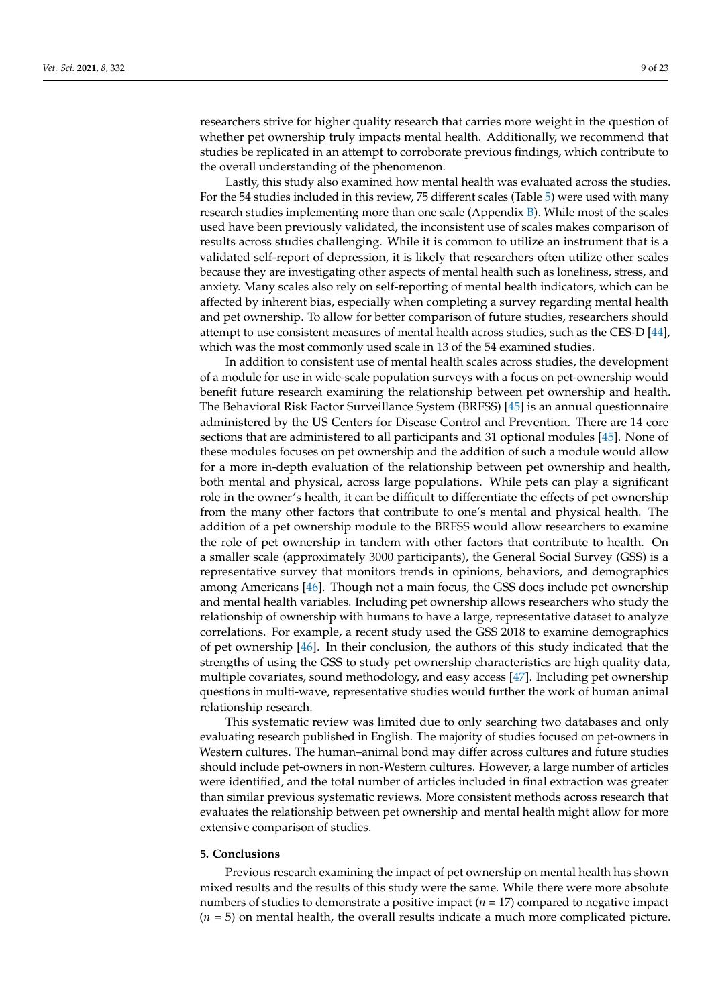researchers strive for higher quality research that carries more weight in the question of whether pet ownership truly impacts mental health. Additionally, we recommend that studies be replicated in an attempt to corroborate previous findings, which contribute to the overall understanding of the phenomenon.

Lastly, this study also examined how mental health was evaluated across the studies. For the 54 studies included in this review, 75 different scales (Table [5\)](#page-5-0) were used with many research studies implementing more than one scale (Appendix  $B$ ). While most of the scales used have been previously validated, the inconsistent use of scales makes comparison of results across studies challenging. While it is common to utilize an instrument that is a validated self-report of depression, it is likely that researchers often utilize other scales because they are investigating other aspects of mental health such as loneliness, stress, and anxiety. Many scales also rely on self-reporting of mental health indicators, which can be affected by inherent bias, especially when completing a survey regarding mental health and pet ownership. To allow for better comparison of future studies, researchers should attempt to use consistent measures of mental health across studies, such as the CES-D [\[44\]](#page-20-14), which was the most commonly used scale in 13 of the 54 examined studies.

In addition to consistent use of mental health scales across studies, the development of a module for use in wide-scale population surveys with a focus on pet-ownership would benefit future research examining the relationship between pet ownership and health. The Behavioral Risk Factor Surveillance System (BRFSS) [\[45\]](#page-20-15) is an annual questionnaire administered by the US Centers for Disease Control and Prevention. There are 14 core sections that are administered to all participants and 31 optional modules [\[45\]](#page-20-15). None of these modules focuses on pet ownership and the addition of such a module would allow for a more in-depth evaluation of the relationship between pet ownership and health, both mental and physical, across large populations. While pets can play a significant role in the owner's health, it can be difficult to differentiate the effects of pet ownership from the many other factors that contribute to one's mental and physical health. The addition of a pet ownership module to the BRFSS would allow researchers to examine the role of pet ownership in tandem with other factors that contribute to health. On a smaller scale (approximately 3000 participants), the General Social Survey (GSS) is a representative survey that monitors trends in opinions, behaviors, and demographics among Americans [\[46\]](#page-20-16). Though not a main focus, the GSS does include pet ownership and mental health variables. Including pet ownership allows researchers who study the relationship of ownership with humans to have a large, representative dataset to analyze correlations. For example, a recent study used the GSS 2018 to examine demographics of pet ownership [\[46\]](#page-20-16). In their conclusion, the authors of this study indicated that the strengths of using the GSS to study pet ownership characteristics are high quality data, multiple covariates, sound methodology, and easy access [\[47\]](#page-20-17). Including pet ownership questions in multi-wave, representative studies would further the work of human animal relationship research.

This systematic review was limited due to only searching two databases and only evaluating research published in English. The majority of studies focused on pet-owners in Western cultures. The human–animal bond may differ across cultures and future studies should include pet-owners in non-Western cultures. However, a large number of articles were identified, and the total number of articles included in final extraction was greater than similar previous systematic reviews. More consistent methods across research that evaluates the relationship between pet ownership and mental health might allow for more extensive comparison of studies.

#### **5. Conclusions**

Previous research examining the impact of pet ownership on mental health has shown mixed results and the results of this study were the same. While there were more absolute numbers of studies to demonstrate a positive impact (*n* = 17) compared to negative impact (*n* = 5) on mental health, the overall results indicate a much more complicated picture.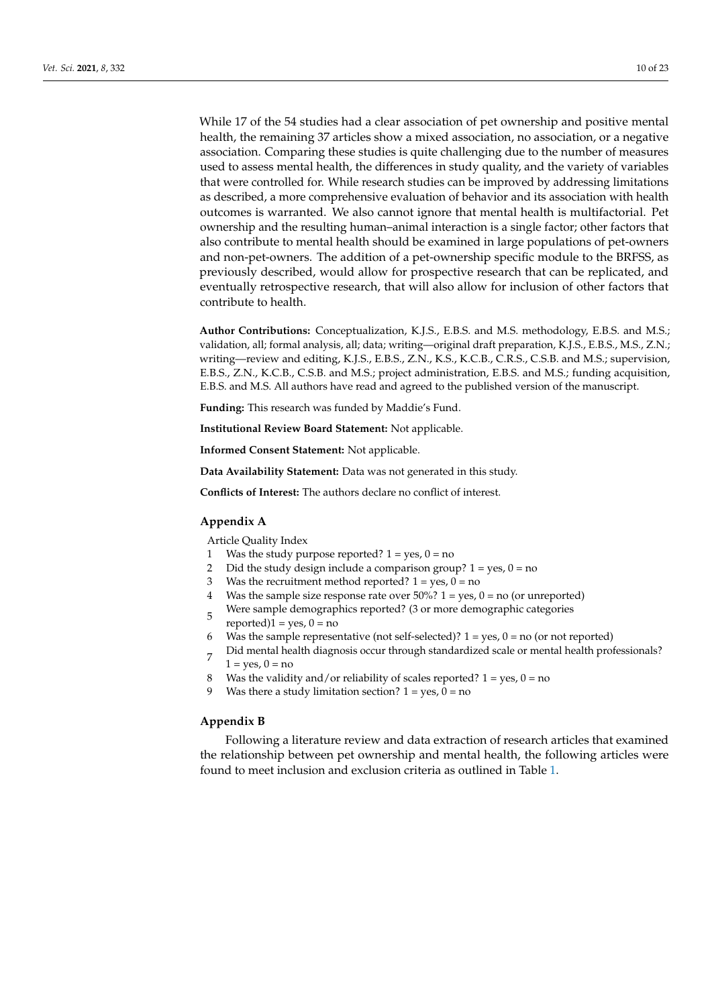While 17 of the 54 studies had a clear association of pet ownership and positive mental health, the remaining 37 articles show a mixed association, no association, or a negative association. Comparing these studies is quite challenging due to the number of measures used to assess mental health, the differences in study quality, and the variety of variables that were controlled for. While research studies can be improved by addressing limitations as described, a more comprehensive evaluation of behavior and its association with health outcomes is warranted. We also cannot ignore that mental health is multifactorial. Pet ownership and the resulting human–animal interaction is a single factor; other factors that also contribute to mental health should be examined in large populations of pet-owners and non-pet-owners. The addition of a pet-ownership specific module to the BRFSS, as previously described, would allow for prospective research that can be replicated, and eventually retrospective research, that will also allow for inclusion of other factors that contribute to health.

**Author Contributions:** Conceptualization, K.J.S., E.B.S. and M.S. methodology, E.B.S. and M.S.; validation, all; formal analysis, all; data; writing—original draft preparation, K.J.S., E.B.S., M.S., Z.N.; writing—review and editing, K.J.S., E.B.S., Z.N., K.S., K.C.B., C.R.S., C.S.B. and M.S.; supervision, E.B.S., Z.N., K.C.B., C.S.B. and M.S.; project administration, E.B.S. and M.S.; funding acquisition, E.B.S. and M.S. All authors have read and agreed to the published version of the manuscript.

**Funding:** This research was funded by Maddie's Fund.

**Institutional Review Board Statement:** Not applicable.

**Informed Consent Statement:** Not applicable.

**Data Availability Statement:** Data was not generated in this study.

**Conflicts of Interest:** The authors declare no conflict of interest.

### <span id="page-9-0"></span>**Appendix A**

Article Quality Index

- 1 Was the study purpose reported?  $1 = yes$ ,  $0 = no$
- 2 Did the study design include a comparison group?  $1 = yes$ ,  $0 = no$
- 3 Was the recruitment method reported?  $1 = yes$ ,  $0 = no$
- 4 Was the sample size response rate over  $50\%$ ? 1 = yes, 0 = no (or unreported)
- 5 Were sample demographics reported? (3 or more demographic categories
- $reported$ ) $1 = yes, 0 = no$
- 6 Was the sample representative (not self-selected)?  $1 = \text{ves}$ ,  $0 = \text{no}$  (or not reported)
- 7 Did mental health diagnosis occur through standardized scale or mental health professionals?  $1 = \text{ves}$ ,  $0 = \text{no}$
- 8 Was the validity and/or reliability of scales reported?  $1 = yes$ ,  $0 = no$
- 9 Was there a study limitation section?  $1 = yes$ ,  $0 = no$

#### <span id="page-9-1"></span>**Appendix B**

Following a literature review and data extraction of research articles that examined the relationship between pet ownership and mental health, the following articles were found to meet inclusion and exclusion criteria as outlined in Table [1.](#page-2-0)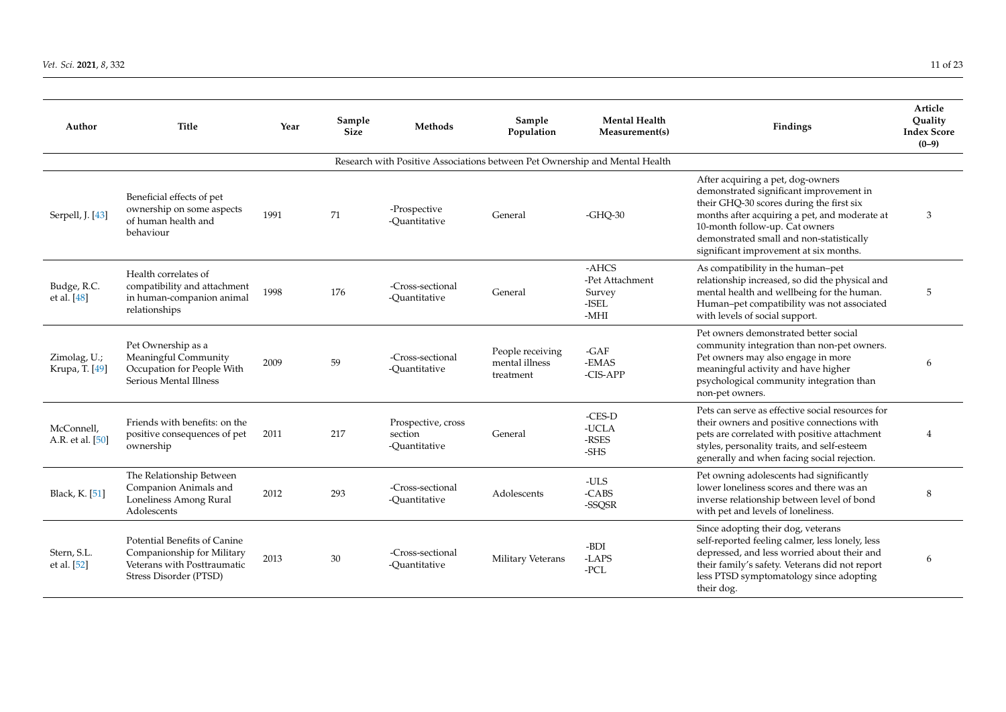#### *Vet. Sci.* **2021**, *8*, 332 11 of 23

| Author                         | Title                                                                                                               | Year | Sample<br><b>Size</b> | Methods                                                                     | Sample<br>Population                            | <b>Mental Health</b><br>Measurement(s)                | Findings                                                                                                                                                                                                                                                                                          | Article<br>Quality<br><b>Index Score</b><br>$(0-9)$ |
|--------------------------------|---------------------------------------------------------------------------------------------------------------------|------|-----------------------|-----------------------------------------------------------------------------|-------------------------------------------------|-------------------------------------------------------|---------------------------------------------------------------------------------------------------------------------------------------------------------------------------------------------------------------------------------------------------------------------------------------------------|-----------------------------------------------------|
|                                |                                                                                                                     |      |                       | Research with Positive Associations between Pet Ownership and Mental Health |                                                 |                                                       |                                                                                                                                                                                                                                                                                                   |                                                     |
| Serpell, J. [43]               | Beneficial effects of pet<br>ownership on some aspects<br>of human health and<br>behaviour                          | 1991 | 71                    | -Prospective<br>-Quantitative                                               | General                                         | $-GHO-30$                                             | After acquiring a pet, dog-owners<br>demonstrated significant improvement in<br>their GHQ-30 scores during the first six<br>months after acquiring a pet, and moderate at<br>10-month follow-up. Cat owners<br>demonstrated small and non-statistically<br>significant improvement at six months. | 3                                                   |
| Budge, R.C.<br>et al. $[48]$   | Health correlates of<br>compatibility and attachment<br>in human-companion animal<br>relationships                  | 1998 | 176                   | -Cross-sectional<br>-Ouantitative                                           | General                                         | -AHCS<br>-Pet Attachment<br>Survey<br>-ISEL<br>$-MHI$ | As compatibility in the human-pet<br>relationship increased, so did the physical and<br>mental health and wellbeing for the human.<br>Human-pet compatibility was not associated<br>with levels of social support.                                                                                | 5                                                   |
| Zimolag, U.;<br>Krupa, T. [49] | Pet Ownership as a<br>Meaningful Community<br>Occupation for People With<br>Serious Mental Illness                  | 2009 | 59                    | -Cross-sectional<br>-Ouantitative                                           | People receiving<br>mental illness<br>treatment | $-GAF$<br>-EMAS<br>-CIS-APP                           | Pet owners demonstrated better social<br>community integration than non-pet owners.<br>Pet owners may also engage in more<br>meaningful activity and have higher<br>psychological community integration than<br>non-pet owners.                                                                   | 6                                                   |
| McConnell,<br>A.R. et al. [50] | Friends with benefits: on the<br>positive consequences of pet<br>ownership                                          | 2011 | 217                   | Prospective, cross<br>section<br>-Ouantitative                              | General                                         | -CES-D<br>-UCLA<br>-RSES<br>-SHS                      | Pets can serve as effective social resources for<br>their owners and positive connections with<br>pets are correlated with positive attachment<br>styles, personality traits, and self-esteem<br>generally and when facing social rejection.                                                      | $\overline{4}$                                      |
| Black, K. [51]                 | The Relationship Between<br>Companion Animals and<br>Loneliness Among Rural<br>Adolescents                          | 2012 | 293                   | -Cross-sectional<br>-Quantitative                                           | Adolescents                                     | -ULS<br>$-CABS$<br>-SSQSR                             | Pet owning adolescents had significantly<br>lower loneliness scores and there was an<br>inverse relationship between level of bond<br>with pet and levels of loneliness.                                                                                                                          | 8                                                   |
| Stern, S.L.<br>et al. [52]     | Potential Benefits of Canine<br>Companionship for Military<br>Veterans with Posttraumatic<br>Stress Disorder (PTSD) | 2013 | 30                    | -Cross-sectional<br>-Quantitative                                           | Military Veterans                               | -BDI<br>-LAPS<br>-PCL                                 | Since adopting their dog, veterans<br>self-reported feeling calmer, less lonely, less<br>depressed, and less worried about their and<br>their family's safety. Veterans did not report<br>less PTSD symptomatology since adopting<br>their dog.                                                   | 6                                                   |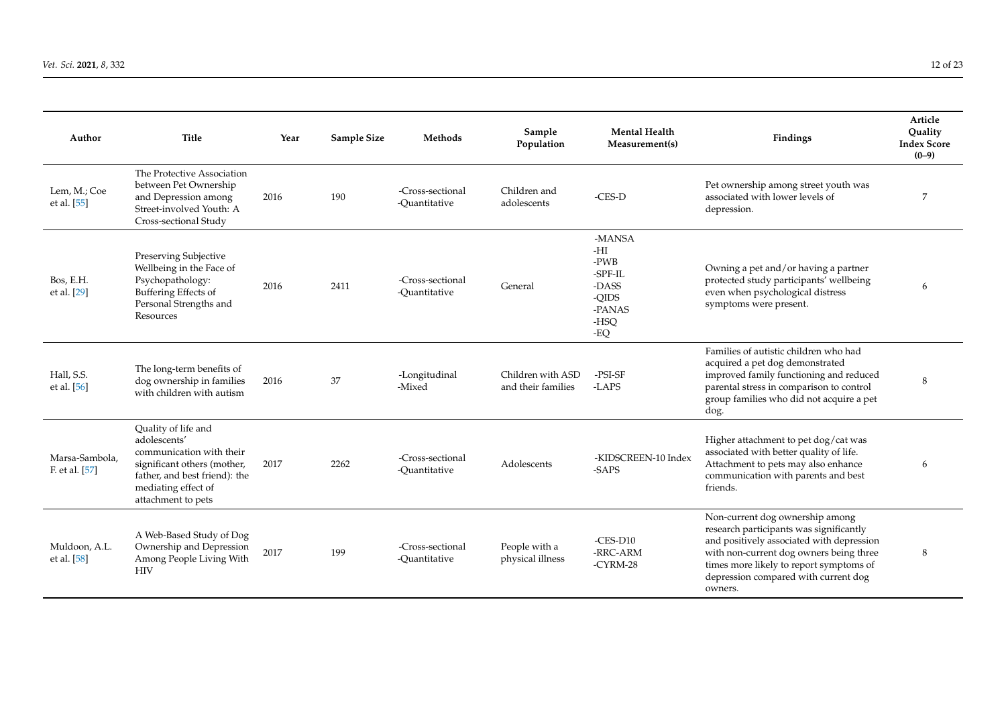| Author                           | <b>Title</b>                                                                                                                                                                 | Year | Sample Size | Methods                           | Sample<br>Population                    | <b>Mental Health</b><br>Measurement(s)                                      | Findings                                                                                                                                                                                                                                                         | Article<br>Quality<br><b>Index Score</b><br>$(0-9)$ |
|----------------------------------|------------------------------------------------------------------------------------------------------------------------------------------------------------------------------|------|-------------|-----------------------------------|-----------------------------------------|-----------------------------------------------------------------------------|------------------------------------------------------------------------------------------------------------------------------------------------------------------------------------------------------------------------------------------------------------------|-----------------------------------------------------|
| Lem, M.; Coe<br>et al. [55]      | The Protective Association<br>between Pet Ownership<br>and Depression among<br>Street-involved Youth: A<br>Cross-sectional Study                                             | 2016 | 190         | -Cross-sectional<br>-Ouantitative | Children and<br>adolescents             | $-CES-D$                                                                    | Pet ownership among street youth was<br>associated with lower levels of<br>depression.                                                                                                                                                                           | 7                                                   |
| Bos, E.H.<br>et al. [29]         | Preserving Subjective<br>Wellbeing in the Face of<br>Psychopathology:<br>Buffering Effects of<br>Personal Strengths and<br>Resources                                         | 2016 | 2411        | -Cross-sectional<br>-Ouantitative | General                                 | -MANSA<br>-HI<br>-PWB<br>-SPF-IL<br>-DASS<br>-QIDS<br>-PANAS<br>-HSQ<br>-EQ | Owning a pet and/or having a partner<br>protected study participants' wellbeing<br>even when psychological distress<br>symptoms were present.                                                                                                                    | 6                                                   |
| Hall, S.S.<br>et al. [56]        | The long-term benefits of<br>dog ownership in families<br>with children with autism                                                                                          | 2016 | 37          | -Longitudinal<br>-Mixed           | Children with ASD<br>and their families | -PSI-SF<br>-LAPS                                                            | Families of autistic children who had<br>acquired a pet dog demonstrated<br>improved family functioning and reduced<br>parental stress in comparison to control<br>group families who did not acquire a pet<br>dog.                                              | 8                                                   |
| Marsa-Sambola.<br>F. et al. [57] | Quality of life and<br>adolescents'<br>communication with their<br>significant others (mother,<br>father, and best friend): the<br>mediating effect of<br>attachment to pets | 2017 | 2262        | -Cross-sectional<br>-Ouantitative | Adolescents                             | -KIDSCREEN-10 Index<br>-SAPS                                                | Higher attachment to pet dog/cat was<br>associated with better quality of life.<br>Attachment to pets may also enhance<br>communication with parents and best<br>friends.                                                                                        | 6                                                   |
| Muldoon, A.L.<br>et al. [58]     | A Web-Based Study of Dog<br>Ownership and Depression<br>Among People Living With<br><b>HIV</b>                                                                               | 2017 | 199         | -Cross-sectional<br>-Quantitative | People with a<br>physical illness       | $-CES-D10$<br>-RRC-ARM<br>$-CYRM-28$                                        | Non-current dog ownership among<br>research participants was significantly<br>and positively associated with depression<br>with non-current dog owners being three<br>times more likely to report symptoms of<br>depression compared with current dog<br>owners. | 8                                                   |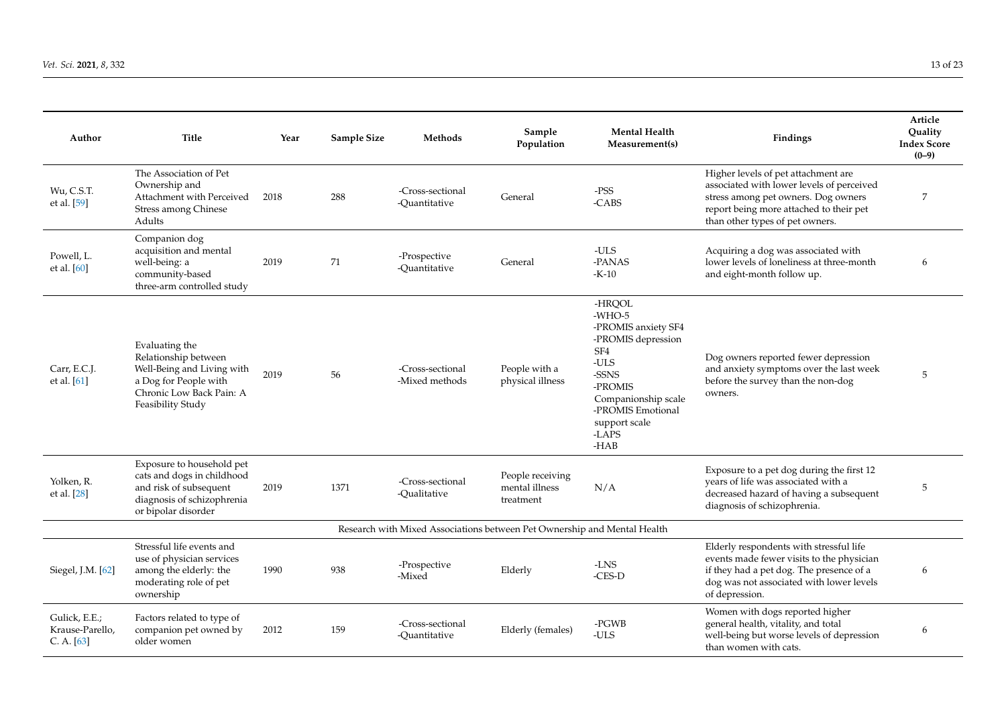| Author                                         | <b>Title</b>                                                                                                                                   | Year | Sample Size | Methods                                                                  | Sample<br>Population                            | <b>Mental Health</b><br>Measurement(s)                                                                                                                                                         | <b>Findings</b>                                                                                                                                                                                       | Article<br>Ouality<br><b>Index Score</b><br>$(0-9)$ |
|------------------------------------------------|------------------------------------------------------------------------------------------------------------------------------------------------|------|-------------|--------------------------------------------------------------------------|-------------------------------------------------|------------------------------------------------------------------------------------------------------------------------------------------------------------------------------------------------|-------------------------------------------------------------------------------------------------------------------------------------------------------------------------------------------------------|-----------------------------------------------------|
| Wu, C.S.T.<br>et al. [59]                      | The Association of Pet<br>Ownership and<br>Attachment with Perceived<br>Stress among Chinese<br>Adults                                         | 2018 | 288         | -Cross-sectional<br>-Quantitative                                        | General                                         | $-$ PSS<br>-CABS                                                                                                                                                                               | Higher levels of pet attachment are<br>associated with lower levels of perceived<br>stress among pet owners. Dog owners<br>report being more attached to their pet<br>than other types of pet owners. | 7                                                   |
| Powell, L.<br>et al. [60]                      | Companion dog<br>acquisition and mental<br>well-being: a<br>community-based<br>three-arm controlled study                                      | 2019 | 71          | -Prospective<br>-Ouantitative                                            | General                                         | -ULS<br>-PANAS<br>$-K-10$                                                                                                                                                                      | Acquiring a dog was associated with<br>lower levels of loneliness at three-month<br>and eight-month follow up.                                                                                        | 6                                                   |
| Carr, E.C.J.<br>et al. $[61]$                  | Evaluating the<br>Relationship between<br>Well-Being and Living with<br>a Dog for People with<br>Chronic Low Back Pain: A<br>Feasibility Study | 2019 | 56          | -Cross-sectional<br>-Mixed methods                                       | People with a<br>physical illness               | -HRQOL<br>$-WHO-5$<br>-PROMIS anxiety SF4<br>-PROMIS depression<br>SF <sub>4</sub><br>$-ULS$<br>-SSNS<br>-PROMIS<br>Companionship scale<br>-PROMIS Emotional<br>support scale<br>-LAPS<br>-HAB | Dog owners reported fewer depression<br>and anxiety symptoms over the last week<br>before the survey than the non-dog<br>owners.                                                                      | 5                                                   |
| Yolken, R.<br>et al. [28]                      | Exposure to household pet<br>cats and dogs in childhood<br>and risk of subsequent<br>diagnosis of schizophrenia<br>or bipolar disorder         | 2019 | 1371        | -Cross-sectional<br>-Qualitative                                         | People receiving<br>mental illness<br>treatment | N/A                                                                                                                                                                                            | Exposure to a pet dog during the first 12<br>years of life was associated with a<br>decreased hazard of having a subsequent<br>diagnosis of schizophrenia.                                            | 5                                                   |
|                                                |                                                                                                                                                |      |             | Research with Mixed Associations between Pet Ownership and Mental Health |                                                 |                                                                                                                                                                                                |                                                                                                                                                                                                       |                                                     |
| Siegel, J.M. [62]                              | Stressful life events and<br>use of physician services<br>among the elderly: the<br>moderating role of pet<br>ownership                        | 1990 | 938         | -Prospective<br>-Mixed                                                   | Elderly                                         | -LNS<br>$-CES-D$                                                                                                                                                                               | Elderly respondents with stressful life<br>events made fewer visits to the physician<br>if they had a pet dog. The presence of a<br>dog was not associated with lower levels<br>of depression.        | 6                                                   |
| Gulick, E.E.;<br>Krause-Parello,<br>C. A. [63] | Factors related to type of<br>companion pet owned by<br>older women                                                                            | 2012 | 159         | -Cross-sectional<br>-Quantitative                                        | Elderly (females)                               | -PGWB<br>-ULS                                                                                                                                                                                  | Women with dogs reported higher<br>general health, vitality, and total<br>well-being but worse levels of depression<br>than women with cats.                                                          | 6                                                   |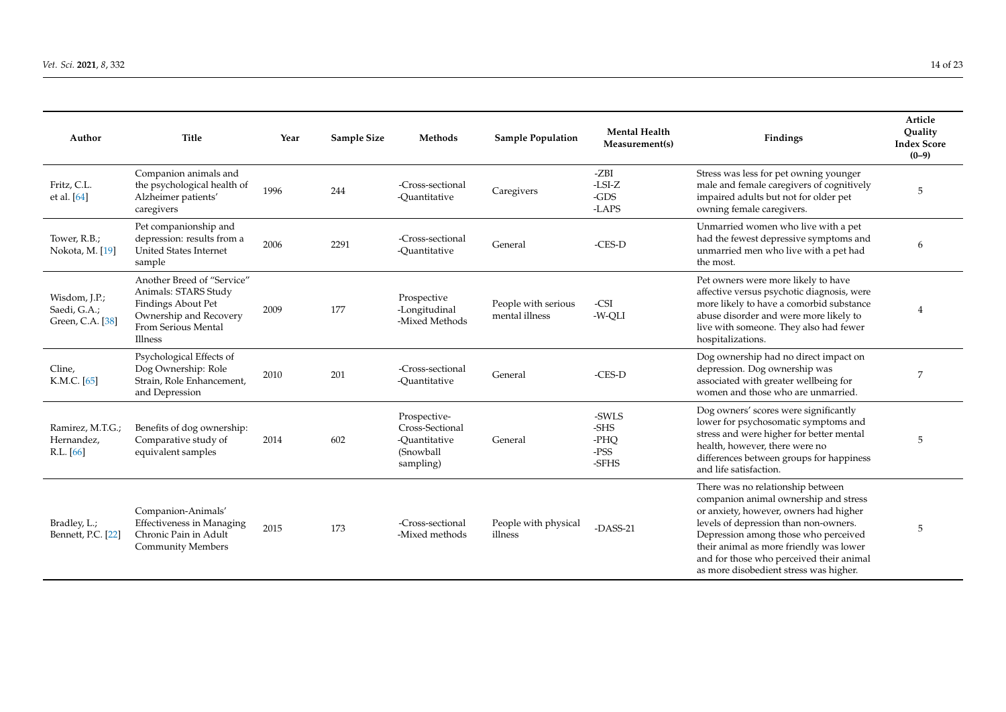| Author                                            | <b>Title</b>                                                                                                                         | Year | Sample Size | Methods                                                                    | <b>Sample Population</b>              | <b>Mental Health</b><br>Measurement(s) | Findings                                                                                                                                                                                                                                                                                                                               | Article<br>Ouality<br><b>Index Score</b><br>$(0-9)$ |
|---------------------------------------------------|--------------------------------------------------------------------------------------------------------------------------------------|------|-------------|----------------------------------------------------------------------------|---------------------------------------|----------------------------------------|----------------------------------------------------------------------------------------------------------------------------------------------------------------------------------------------------------------------------------------------------------------------------------------------------------------------------------------|-----------------------------------------------------|
| Fritz, C.L.<br>et al. [64]                        | Companion animals and<br>the psychological health of<br>Alzheimer patients'<br>caregivers                                            | 1996 | 244         | -Cross-sectional<br>-Ouantitative                                          | Caregivers                            | -ZBI<br>$-LSI-Z$<br>$-GDS$<br>-LAPS    | Stress was less for pet owning younger<br>male and female caregivers of cognitively<br>impaired adults but not for older pet<br>owning female caregivers.                                                                                                                                                                              | 5                                                   |
| Tower, R.B.;<br>Nokota, M. [19]                   | Pet companionship and<br>depression: results from a<br><b>United States Internet</b><br>sample                                       | 2006 | 2291        | -Cross-sectional<br>-Ouantitative                                          | General                               | $-CES-D$                               | Unmarried women who live with a pet<br>had the fewest depressive symptoms and<br>unmarried men who live with a pet had<br>the most.                                                                                                                                                                                                    | 6                                                   |
| Wisdom, J.P.;<br>Saedi, G.A.;<br>Green, C.A. [38] | Another Breed of "Service"<br>Animals: STARS Study<br>Findings About Pet<br>Ownership and Recovery<br>From Serious Mental<br>Illness | 2009 | 177         | Prospective<br>-Longitudinal<br>-Mixed Methods                             | People with serious<br>mental illness | -CSI<br>-W-QLI                         | Pet owners were more likely to have<br>affective versus psychotic diagnosis, were<br>more likely to have a comorbid substance<br>abuse disorder and were more likely to<br>live with someone. They also had fewer<br>hospitalizations.                                                                                                 | 4                                                   |
| Cline,<br>K.M.C. [65]                             | Psychological Effects of<br>Dog Ownership: Role<br>Strain, Role Enhancement,<br>and Depression                                       | 2010 | 201         | -Cross-sectional<br>-Ouantitative                                          | General                               | $-CES-D$                               | Dog ownership had no direct impact on<br>depression. Dog ownership was<br>associated with greater wellbeing for<br>women and those who are unmarried.                                                                                                                                                                                  | 7                                                   |
| Ramirez, M.T.G.;<br>Hernandez,<br>R.L. [66]       | Benefits of dog ownership:<br>Comparative study of<br>equivalent samples                                                             | 2014 | 602         | Prospective-<br>Cross-Sectional<br>-Ouantitative<br>(Snowball<br>sampling) | General                               | -SWLS<br>-SHS<br>-PHO<br>-PSS<br>-SFHS | Dog owners' scores were significantly<br>lower for psychosomatic symptoms and<br>stress and were higher for better mental<br>health, however, there were no<br>differences between groups for happiness<br>and life satisfaction.                                                                                                      | 5                                                   |
| Bradley, L.;<br>Bennett, P.C. [22]                | Companion-Animals'<br><b>Effectiveness in Managing</b><br>Chronic Pain in Adult<br><b>Community Members</b>                          | 2015 | 173         | -Cross-sectional<br>-Mixed methods                                         | People with physical<br>illness       | $-DASS-21$                             | There was no relationship between<br>companion animal ownership and stress<br>or anxiety, however, owners had higher<br>levels of depression than non-owners.<br>Depression among those who perceived<br>their animal as more friendly was lower<br>and for those who perceived their animal<br>as more disobedient stress was higher. | 5                                                   |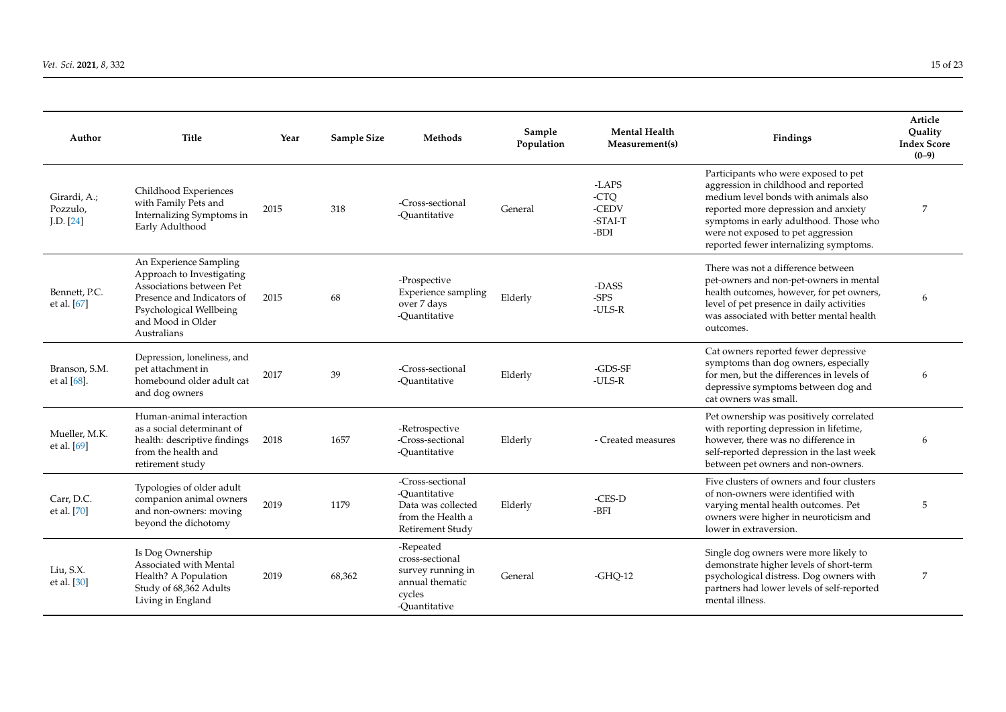| Author                                | <b>Title</b>                                                                                                                                                                 | Year | Sample Size | Methods                                                                                          | Sample<br>Population | <b>Mental Health</b><br>Measurement(s)    | Findings                                                                                                                                                                                                                                                                               | Article<br>Ouality<br><b>Index Score</b><br>$(0-9)$ |
|---------------------------------------|------------------------------------------------------------------------------------------------------------------------------------------------------------------------------|------|-------------|--------------------------------------------------------------------------------------------------|----------------------|-------------------------------------------|----------------------------------------------------------------------------------------------------------------------------------------------------------------------------------------------------------------------------------------------------------------------------------------|-----------------------------------------------------|
| Girardi, A.;<br>Pozzulo,<br>[LD. [24] | Childhood Experiences<br>with Family Pets and<br>Internalizing Symptoms in<br>Early Adulthood                                                                                | 2015 | 318         | -Cross-sectional<br>-Ouantitative                                                                | General              | -LAPS<br>-CTQ<br>-CEDV<br>-STAI-T<br>-BDI | Participants who were exposed to pet<br>aggression in childhood and reported<br>medium level bonds with animals also<br>reported more depression and anxiety<br>symptoms in early adulthood. Those who<br>were not exposed to pet aggression<br>reported fewer internalizing symptoms. | 7                                                   |
| Bennett, P.C.<br>et al. $[67]$        | An Experience Sampling<br>Approach to Investigating<br>Associations between Pet<br>Presence and Indicators of<br>Psychological Wellbeing<br>and Mood in Older<br>Australians | 2015 | 68          | -Prospective<br><b>Experience sampling</b><br>over 7 days<br>-Ouantitative                       | Elderly              | -DASS<br>$-SPS$<br>-ULS-R                 | There was not a difference between<br>pet-owners and non-pet-owners in mental<br>health outcomes, however, for pet owners,<br>level of pet presence in daily activities<br>was associated with better mental health<br>outcomes.                                                       | 6                                                   |
| Branson, S.M.<br>et al $[68]$ .       | Depression, loneliness, and<br>pet attachment in<br>homebound older adult cat<br>and dog owners                                                                              | 2017 | 39          | -Cross-sectional<br>-Quantitative                                                                | Elderly              | $-GDS-SF$<br>-ULS-R                       | Cat owners reported fewer depressive<br>symptoms than dog owners, especially<br>for men, but the differences in levels of<br>depressive symptoms between dog and<br>cat owners was small.                                                                                              | 6                                                   |
| Mueller, M.K.<br>et al. [69]          | Human-animal interaction<br>as a social determinant of<br>health: descriptive findings<br>from the health and<br>retirement study                                            | 2018 | 1657        | -Retrospective<br>-Cross-sectional<br>-Ouantitative                                              | Elderly              | - Created measures                        | Pet ownership was positively correlated<br>with reporting depression in lifetime,<br>however, there was no difference in<br>self-reported depression in the last week<br>between pet owners and non-owners.                                                                            | 6                                                   |
| Carr, D.C.<br>et al. [70]             | Typologies of older adult<br>companion animal owners<br>and non-owners: moving<br>beyond the dichotomy                                                                       | 2019 | 1179        | -Cross-sectional<br>-Ouantitative<br>Data was collected<br>from the Health a<br>Retirement Study | Elderly              | -CES-D<br>-BFI                            | Five clusters of owners and four clusters<br>of non-owners were identified with<br>varying mental health outcomes. Pet<br>owners were higher in neuroticism and<br>lower in extraversion.                                                                                              | 5                                                   |
| Liu, S.X.<br>et al. [30]              | Is Dog Ownership<br>Associated with Mental<br>Health? A Population<br>Study of 68,362 Adults<br>Living in England                                                            | 2019 | 68,362      | -Repeated<br>cross-sectional<br>survey running in<br>annual thematic<br>cycles<br>-Ouantitative  | General              | $-GHO-12$                                 | Single dog owners were more likely to<br>demonstrate higher levels of short-term<br>psychological distress. Dog owners with<br>partners had lower levels of self-reported<br>mental illness.                                                                                           | 7                                                   |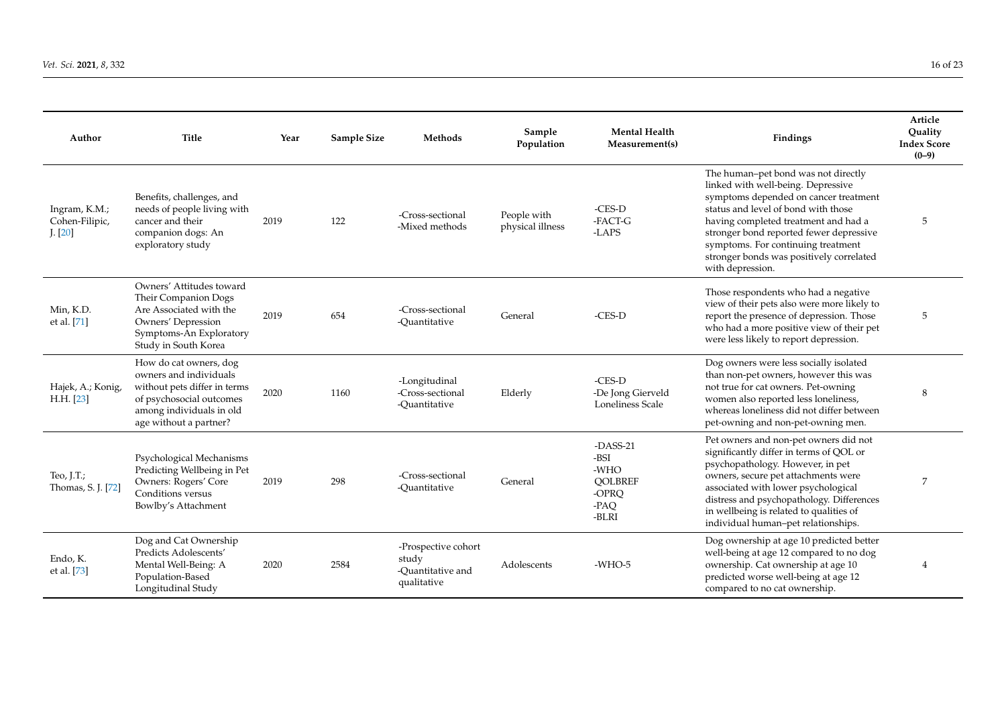| Author                                     | <b>Title</b>                                                                                                                                                       | Year | Sample Size | Methods                                                          | Sample<br>Population            | <b>Mental Health</b><br>Measurement(s)                                 | Findings                                                                                                                                                                                                                                                                                                                                           | Article<br>Ouality<br><b>Index Score</b><br>$(0-9)$ |
|--------------------------------------------|--------------------------------------------------------------------------------------------------------------------------------------------------------------------|------|-------------|------------------------------------------------------------------|---------------------------------|------------------------------------------------------------------------|----------------------------------------------------------------------------------------------------------------------------------------------------------------------------------------------------------------------------------------------------------------------------------------------------------------------------------------------------|-----------------------------------------------------|
| Ingram, K.M.;<br>Cohen-Filipic,<br>J. [20] | Benefits, challenges, and<br>needs of people living with<br>cancer and their<br>companion dogs: An<br>exploratory study                                            | 2019 | 122         | -Cross-sectional<br>-Mixed methods                               | People with<br>physical illness | -CES-D<br>-FACT-G<br>-LAPS                                             | The human-pet bond was not directly<br>linked with well-being. Depressive<br>symptoms depended on cancer treatment<br>status and level of bond with those<br>having completed treatment and had a<br>stronger bond reported fewer depressive<br>symptoms. For continuing treatment<br>stronger bonds was positively correlated<br>with depression. | 5                                                   |
| Min, K.D.<br>et al. [71]                   | Owners' Attitudes toward<br>Their Companion Dogs<br>Are Associated with the<br>Owners' Depression<br>Symptoms-An Exploratory<br>Study in South Korea               | 2019 | 654         | -Cross-sectional<br>-Ouantitative                                | General                         | -CES-D                                                                 | Those respondents who had a negative<br>view of their pets also were more likely to<br>report the presence of depression. Those<br>who had a more positive view of their pet<br>were less likely to report depression.                                                                                                                             | 5                                                   |
| Hajek, A.; Konig,<br>H.H. [23]             | How do cat owners, dog<br>owners and individuals<br>without pets differ in terms<br>of psychosocial outcomes<br>among individuals in old<br>age without a partner? | 2020 | 1160        | -Longitudinal<br>-Cross-sectional<br>-Ouantitative               | Elderly                         | $-CES-D$<br>-De Jong Gierveld<br>Loneliness Scale                      | Dog owners were less socially isolated<br>than non-pet owners, however this was<br>not true for cat owners. Pet-owning<br>women also reported less loneliness,<br>whereas loneliness did not differ between<br>pet-owning and non-pet-owning men.                                                                                                  | 8                                                   |
| Teo, J.T.;<br>Thomas, S. J. [72]           | Psychological Mechanisms<br>Predicting Wellbeing in Pet<br>Owners: Rogers' Core<br>Conditions versus<br>Bowlby's Attachment                                        | 2019 | 298         | -Cross-sectional<br>-Quantitative                                | General                         | $-DASS-21$<br>-BSI<br>-WHO<br><b>OOLBREF</b><br>-OPRQ<br>-PAQ<br>-BLRI | Pet owners and non-pet owners did not<br>significantly differ in terms of QOL or<br>psychopathology. However, in pet<br>owners, secure pet attachments were<br>associated with lower psychological<br>distress and psychopathology. Differences<br>in wellbeing is related to qualities of<br>individual human-pet relationships.                  | 7                                                   |
| Endo, K.<br>et al. [73]                    | Dog and Cat Ownership<br>Predicts Adolescents'<br>Mental Well-Being: A<br>Population-Based<br>Longitudinal Study                                                   | 2020 | 2584        | -Prospective cohort<br>study<br>-Quantitative and<br>qualitative | Adolescents                     | $-WHO-5$                                                               | Dog ownership at age 10 predicted better<br>well-being at age 12 compared to no dog<br>ownership. Cat ownership at age 10<br>predicted worse well-being at age 12<br>compared to no cat ownership.                                                                                                                                                 |                                                     |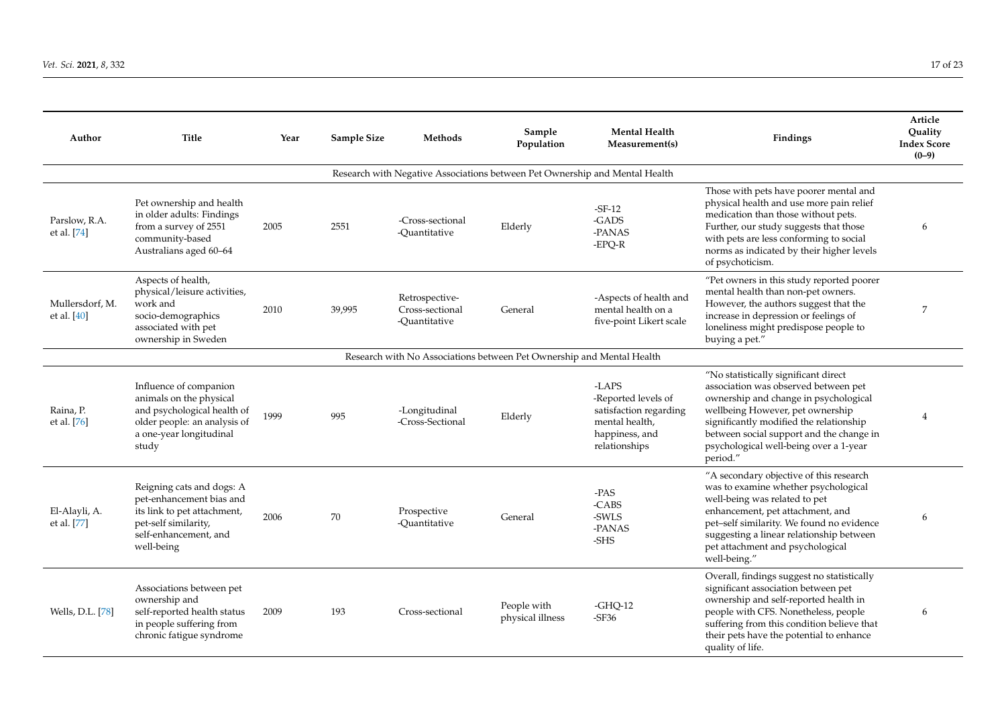| Author                         | <b>Title</b>                                                                                                                                         | Year | Sample Size | Methods                                                                     | Sample<br>Population            | <b>Mental Health</b><br>Measurement(s)                                                                      | Findings                                                                                                                                                                                                                                                                                               | Article<br>Ouality<br><b>Index Score</b><br>$(0-9)$ |
|--------------------------------|------------------------------------------------------------------------------------------------------------------------------------------------------|------|-------------|-----------------------------------------------------------------------------|---------------------------------|-------------------------------------------------------------------------------------------------------------|--------------------------------------------------------------------------------------------------------------------------------------------------------------------------------------------------------------------------------------------------------------------------------------------------------|-----------------------------------------------------|
|                                |                                                                                                                                                      |      |             | Research with Negative Associations between Pet Ownership and Mental Health |                                 |                                                                                                             |                                                                                                                                                                                                                                                                                                        |                                                     |
| Parslow, R.A.<br>et al. [74]   | Pet ownership and health<br>in older adults: Findings<br>from a survey of 2551<br>community-based<br>Australians aged 60-64                          | 2005 | 2551        | -Cross-sectional<br>-Ouantitative                                           | Elderly                         | $-SF-12$<br>-GADS<br>-PANAS<br>-EPQ-R                                                                       | Those with pets have poorer mental and<br>physical health and use more pain relief<br>medication than those without pets.<br>Further, our study suggests that those<br>with pets are less conforming to social<br>norms as indicated by their higher levels<br>of psychoticism.                        | 6                                                   |
| Mullersdorf. M.<br>et al. [40] | Aspects of health,<br>physical/leisure activities,<br>work and<br>socio-demographics<br>associated with pet<br>ownership in Sweden                   | 2010 | 39,995      | Retrospective-<br>Cross-sectional<br>-Ouantitative                          | General                         | -Aspects of health and<br>mental health on a<br>five-point Likert scale                                     | "Pet owners in this study reported poorer<br>mental health than non-pet owners.<br>However, the authors suggest that the<br>increase in depression or feelings of<br>loneliness might predispose people to<br>buying a pet."                                                                           | 7                                                   |
|                                |                                                                                                                                                      |      |             | Research with No Associations between Pet Ownership and Mental Health       |                                 |                                                                                                             |                                                                                                                                                                                                                                                                                                        |                                                     |
| Raina, P.<br>et al. [76]       | Influence of companion<br>animals on the physical<br>and psychological health of<br>older people: an analysis of<br>a one-year longitudinal<br>study | 1999 | 995         | -Longitudinal<br>-Cross-Sectional                                           | Elderly                         | -LAPS<br>-Reported levels of<br>satisfaction regarding<br>mental health,<br>happiness, and<br>relationships | "No statistically significant direct<br>association was observed between pet<br>ownership and change in psychological<br>wellbeing However, pet ownership<br>significantly modified the relationship<br>between social support and the change in<br>psychological well-being over a 1-year<br>period." |                                                     |
| El-Alayli, A.<br>et al. [77]   | Reigning cats and dogs: A<br>pet-enhancement bias and<br>its link to pet attachment,<br>pet-self similarity,<br>self-enhancement, and<br>well-being  | 2006 | 70          | Prospective<br>-Ouantitative                                                | General                         | -PAS<br>-CABS<br>-SWLS<br>-PANAS<br>-SHS                                                                    | "A secondary objective of this research<br>was to examine whether psychological<br>well-being was related to pet<br>enhancement, pet attachment, and<br>pet-self similarity. We found no evidence<br>suggesting a linear relationship between<br>pet attachment and psychological<br>well-being."      | 6                                                   |
| Wells, D.L. [78]               | Associations between pet<br>ownership and<br>self-reported health status<br>in people suffering from<br>chronic fatigue syndrome                     | 2009 | 193         | Cross-sectional                                                             | People with<br>physical illness | $-GHQ-12$<br>$-SF36$                                                                                        | Overall, findings suggest no statistically<br>significant association between pet<br>ownership and self-reported health in<br>people with CFS. Nonetheless, people<br>suffering from this condition believe that<br>their pets have the potential to enhance<br>quality of life.                       | 6                                                   |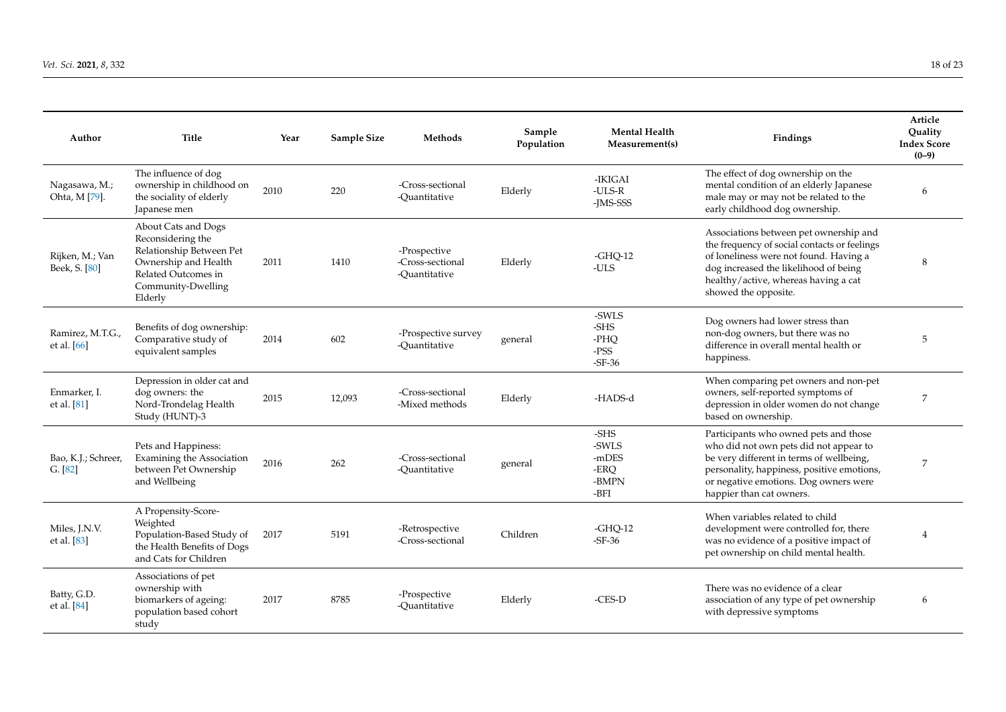| Author                           | <b>Title</b>                                                                                                                                         | Year | Sample Size | Methods                                           | Sample<br>Population | <b>Mental Health</b><br>Measurement(s)          | Findings                                                                                                                                                                                                                                       | Article<br>Ouality<br><b>Index Score</b><br>$(0-9)$ |
|----------------------------------|------------------------------------------------------------------------------------------------------------------------------------------------------|------|-------------|---------------------------------------------------|----------------------|-------------------------------------------------|------------------------------------------------------------------------------------------------------------------------------------------------------------------------------------------------------------------------------------------------|-----------------------------------------------------|
| Nagasawa, M.;<br>Ohta, M [79].   | The influence of dog<br>ownership in childhood on<br>the sociality of elderly<br>Japanese men                                                        | 2010 | 220         | -Cross-sectional<br>-Ouantitative                 | Elderly              | -IKIGAI<br>$-ULS-R$<br>-IMS-SSS                 | The effect of dog ownership on the<br>mental condition of an elderly Japanese<br>male may or may not be related to the<br>early childhood dog ownership.                                                                                       | 6                                                   |
| Rijken, M.; Van<br>Beek, S. [80] | About Cats and Dogs<br>Reconsidering the<br>Relationship Between Pet<br>Ownership and Health<br>Related Outcomes in<br>Community-Dwelling<br>Elderly | 2011 | 1410        | -Prospective<br>-Cross-sectional<br>-Ouantitative | Elderly              | $-GHO-12$<br>-ULS                               | Associations between pet ownership and<br>the frequency of social contacts or feelings<br>of loneliness were not found. Having a<br>dog increased the likelihood of being<br>healthy/active, whereas having a cat<br>showed the opposite.      | 8                                                   |
| Ramirez, M.T.G.,<br>et al. [66]  | Benefits of dog ownership:<br>Comparative study of<br>equivalent samples                                                                             | 2014 | 602         | -Prospective survey<br>-Ouantitative              | general              | -SWLS<br>-SHS<br>-PHO<br>$-$ PSS<br>$-SF-36$    | Dog owners had lower stress than<br>non-dog owners, but there was no<br>difference in overall mental health or<br>happiness.                                                                                                                   | 5                                                   |
| Enmarker. I.<br>et al. [81]      | Depression in older cat and<br>dog owners: the<br>Nord-Trondelag Health<br>Study (HUNT)-3                                                            | 2015 | 12,093      | -Cross-sectional<br>-Mixed methods                | Elderly              | -HADS-d                                         | When comparing pet owners and non-pet<br>owners, self-reported symptoms of<br>depression in older women do not change<br>based on ownership.                                                                                                   | 7                                                   |
| Bao, K.J.; Schreer,<br>G. [82]   | Pets and Happiness:<br>Examining the Association<br>between Pet Ownership<br>and Wellbeing                                                           | 2016 | 262         | -Cross-sectional<br>-Ouantitative                 | general              | -SHS<br>-SWLS<br>-mDES<br>-ERO<br>-BMPN<br>-BFI | Participants who owned pets and those<br>who did not own pets did not appear to<br>be very different in terms of wellbeing,<br>personality, happiness, positive emotions,<br>or negative emotions. Dog owners were<br>happier than cat owners. | 7                                                   |
| Miles, J.N.V.<br>et al. [83]     | A Propensity-Score-<br>Weighted<br>Population-Based Study of<br>the Health Benefits of Dogs<br>and Cats for Children                                 | 2017 | 5191        | -Retrospective<br>-Cross-sectional                | Children             | $-GHO-12$<br>$-SF-36$                           | When variables related to child<br>development were controlled for, there<br>was no evidence of a positive impact of<br>pet ownership on child mental health.                                                                                  | 4                                                   |
| Batty, G.D.<br>et al. [84]       | Associations of pet<br>ownership with<br>biomarkers of ageing:<br>population based cohort<br>study                                                   | 2017 | 8785        | -Prospective<br>-Ouantitative                     | Elderly              | $-CES-D$                                        | There was no evidence of a clear<br>association of any type of pet ownership<br>with depressive symptoms                                                                                                                                       | 6                                                   |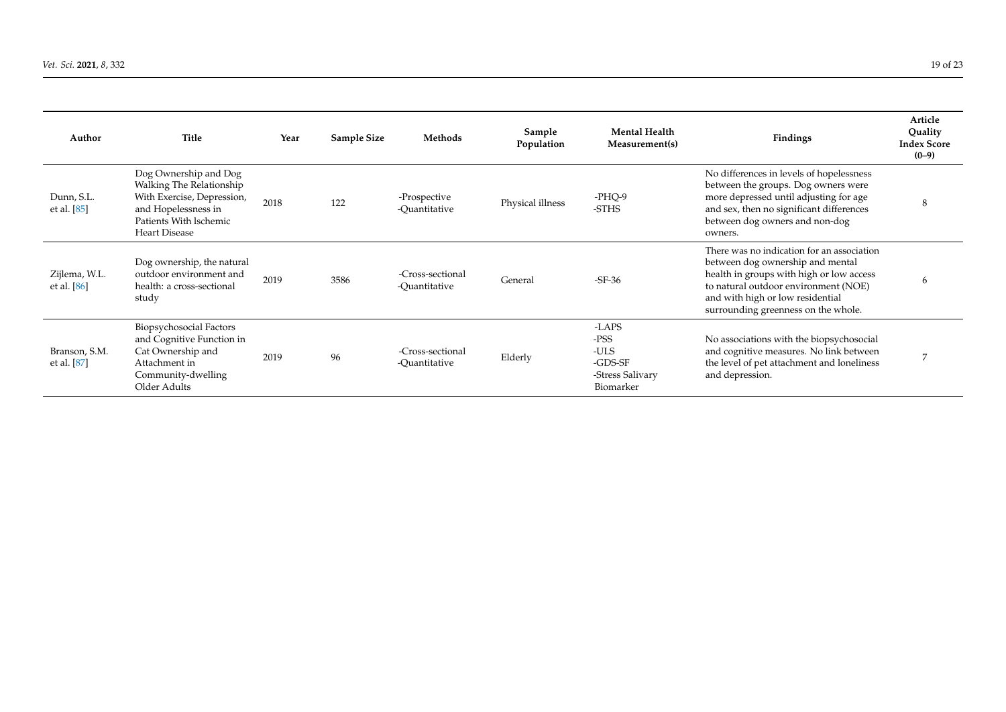| Author                         | Title                                                                                                                                                    | Year | <b>Sample Size</b> | Methods                           | Sample<br>Population | <b>Mental Health</b><br>Measurement(s)                            | <b>Findings</b>                                                                                                                                                                                                                               | Article<br>Ouality<br><b>Index Score</b><br>$(0-9)$ |
|--------------------------------|----------------------------------------------------------------------------------------------------------------------------------------------------------|------|--------------------|-----------------------------------|----------------------|-------------------------------------------------------------------|-----------------------------------------------------------------------------------------------------------------------------------------------------------------------------------------------------------------------------------------------|-----------------------------------------------------|
| Dunn, S.L.<br>et al. $[85]$    | Dog Ownership and Dog<br>Walking The Relationship<br>With Exercise, Depression,<br>and Hopelessness in<br>Patients With Ischemic<br><b>Heart Disease</b> | 2018 | 122                | -Prospective<br>-Ouantitative     | Physical illness     | $-PHO-9$<br>-STHS                                                 | No differences in levels of hopelessness<br>between the groups. Dog owners were<br>more depressed until adjusting for age<br>and sex, then no significant differences<br>between dog owners and non-dog<br>owners.                            | 8                                                   |
| Zijlema, W.L.<br>et al. $[86]$ | Dog ownership, the natural<br>outdoor environment and<br>health: a cross-sectional<br>study                                                              | 2019 | 3586               | -Cross-sectional<br>-Ouantitative | General              | $-SF-36$                                                          | There was no indication for an association<br>between dog ownership and mental<br>health in groups with high or low access<br>to natural outdoor environment (NOE)<br>and with high or low residential<br>surrounding greenness on the whole. | 6                                                   |
| Branson, S.M.<br>et al. [87]   | Biopsychosocial Factors<br>and Cognitive Function in<br>Cat Ownership and<br>Attachment in<br>Community-dwelling<br>Older Adults                         | 2019 | 96                 | -Cross-sectional<br>-Ouantitative | Elderly              | -LAPS<br>-PSS<br>-ULS<br>-GDS-SF<br>-Stress Salivary<br>Biomarker | No associations with the biopsychosocial<br>and cognitive measures. No link between<br>the level of pet attachment and loneliness<br>and depression.                                                                                          | ⇁                                                   |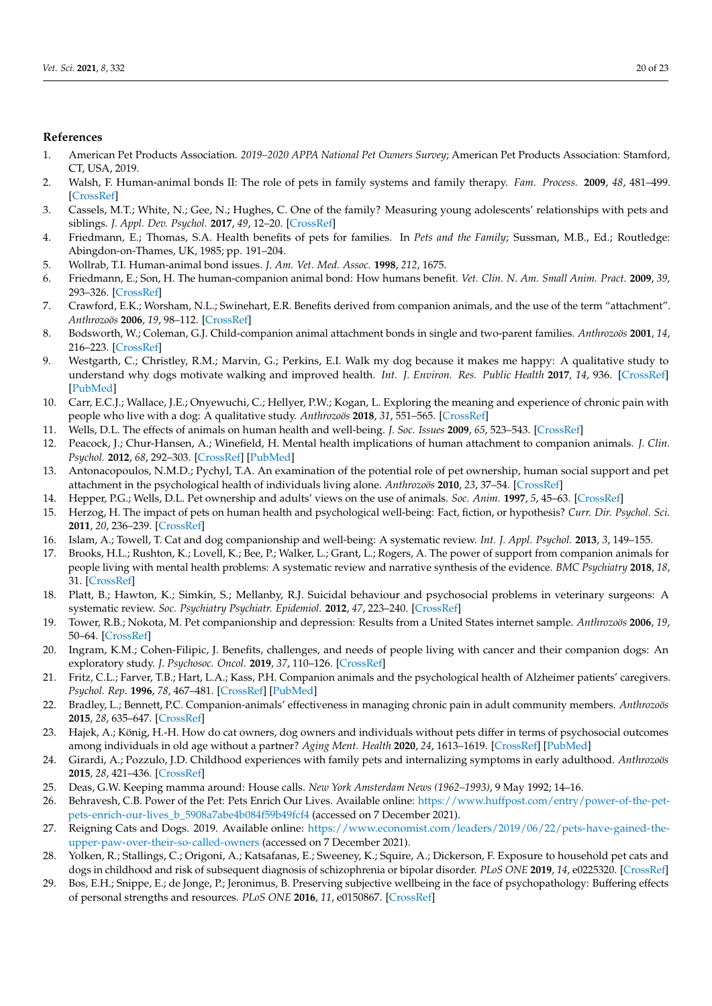## **References**

- <span id="page-19-0"></span>1. American Pet Products Association. *2019–2020 APPA National Pet Owners Survey*; American Pet Products Association: Stamford, CT, USA, 2019.
- <span id="page-19-1"></span>2. Walsh, F. Human-animal bonds II: The role of pets in family systems and family therapy. *Fam. Process.* **2009**, *48*, 481–499. [\[CrossRef\]](http://doi.org/10.1111/j.1545-5300.2009.01297.x)
- 3. Cassels, M.T.; White, N.; Gee, N.; Hughes, C. One of the family? Measuring young adolescents' relationships with pets and siblings. *J. Appl. Dev. Psychol.* **2017**, *49*, 12–20. [\[CrossRef\]](http://doi.org/10.1016/j.appdev.2017.01.003)
- <span id="page-19-2"></span>4. Friedmann, E.; Thomas, S.A. Health benefits of pets for families. In *Pets and the Family*; Sussman, M.B., Ed.; Routledge: Abingdon-on-Thames, UK, 1985; pp. 191–204.
- <span id="page-19-3"></span>5. Wollrab, T.I. Human-animal bond issues. *J. Am. Vet. Med. Assoc.* **1998**, *212*, 1675.
- <span id="page-19-4"></span>6. Friedmann, E.; Son, H. The human-companion animal bond: How humans benefit. *Vet. Clin. N. Am. Small Anim. Pract.* **2009**, *39*, 293–326. [\[CrossRef\]](http://doi.org/10.1016/j.cvsm.2008.10.015)
- 7. Crawford, E.K.; Worsham, N.L.; Swinehart, E.R. Benefits derived from companion animals, and the use of the term "attachment". *Anthrozoös* **2006**, *19*, 98–112. [\[CrossRef\]](http://doi.org/10.2752/089279306785593757)
- <span id="page-19-24"></span><span id="page-19-5"></span>8. Bodsworth, W.; Coleman, G.J. Child-companion animal attachment bonds in single and two-parent families. *Anthrozoös* **2001**, *14*, 216–223. [\[CrossRef\]](http://doi.org/10.2752/089279301786999391)
- <span id="page-19-27"></span><span id="page-19-6"></span>9. Westgarth, C.; Christley, R.M.; Marvin, G.; Perkins, E.I. Walk my dog because it makes me happy: A qualitative study to understand why dogs motivate walking and improved health. *Int. J. Environ. Res. Public Health* **2017**, *14*, 936. [\[CrossRef\]](http://doi.org/10.3390/ijerph14080936) [\[PubMed\]](http://www.ncbi.nlm.nih.gov/pubmed/28825614)
- <span id="page-19-25"></span><span id="page-19-7"></span>10. Carr, E.C.J.; Wallace, J.E.; Onyewuchi, C.; Hellyer, P.W.; Kogan, L. Exploring the meaning and experience of chronic pain with people who live with a dog: A qualitative study. *Anthrozoös* **2018**, *31*, 551–565. [\[CrossRef\]](http://doi.org/10.1080/08927936.2018.1505267)
- <span id="page-19-28"></span><span id="page-19-8"></span>11. Wells, D.L. The effects of animals on human health and well-being. *J. Soc. Issues* **2009**, *65*, 523–543. [\[CrossRef\]](http://doi.org/10.1111/j.1540-4560.2009.01612.x)
- 12. Peacock, J.; Chur-Hansen, A.; Winefield, H. Mental health implications of human attachment to companion animals. *J. Clin. Psychol.* **2012**, *68*, 292–303. [\[CrossRef\]](http://doi.org/10.1002/jclp.20866) [\[PubMed\]](http://www.ncbi.nlm.nih.gov/pubmed/22307948)
- <span id="page-19-26"></span>13. Antonacopoulos, N.M.D.; Pychyl, T.A. An examination of the potential role of pet ownership, human social support and pet attachment in the psychological health of individuals living alone. *Anthrozoös* **2010**, *23*, 37–54. [\[CrossRef\]](http://doi.org/10.2752/175303710X12627079939143)
- 14. Hepper, P.G.; Wells, D.L. Pet ownership and adults' views on the use of animals. *Soc. Anim.* **1997**, *5*, 45–63. [\[CrossRef\]](http://doi.org/10.1163/156853097X00213)
- <span id="page-19-9"></span>15. Herzog, H. The impact of pets on human health and psychological well-being: Fact, fiction, or hypothesis? *Curr. Dir. Psychol. Sci.* **2011**, *20*, 236–239. [\[CrossRef\]](http://doi.org/10.1177/0963721411415220)
- <span id="page-19-10"></span>16. Islam, A.; Towell, T. Cat and dog companionship and well-being: A systematic review. *Int. J. Appl. Psychol.* **2013**, *3*, 149–155.
- <span id="page-19-23"></span><span id="page-19-11"></span>17. Brooks, H.L.; Rushton, K.; Lovell, K.; Bee, P.; Walker, L.; Grant, L.; Rogers, A. The power of support from companion animals for people living with mental health problems: A systematic review and narrative synthesis of the evidence. *BMC Psychiatry* **2018**, *18*, 31. [\[CrossRef\]](http://doi.org/10.1186/s12888-018-1613-2)
- <span id="page-19-22"></span><span id="page-19-12"></span>18. Platt, B.; Hawton, K.; Simkin, S.; Mellanby, R.J. Suicidal behaviour and psychosocial problems in veterinary surgeons: A systematic review. *Soc. Psychiatry Psychiatr. Epidemiol.* **2012**, *47*, 223–240. [\[CrossRef\]](http://doi.org/10.1007/s00127-010-0328-6)
- <span id="page-19-13"></span>19. Tower, R.B.; Nokota, M. Pet companionship and depression: Results from a United States internet sample. *Anthrozoös* **2006**, *19*, 50–64. [\[CrossRef\]](http://doi.org/10.2752/089279306785593874)
- <span id="page-19-15"></span>20. Ingram, K.M.; Cohen-Filipic, J. Benefits, challenges, and needs of people living with cancer and their companion dogs: An exploratory study. *J. Psychosoc. Oncol.* **2019**, *37*, 110–126. [\[CrossRef\]](http://doi.org/10.1080/07347332.2018.1529010)
- 21. Fritz, C.L.; Farver, T.B.; Hart, L.A.; Kass, P.H. Companion animals and the psychological health of Alzheimer patients' caregivers. *Psychol. Rep.* **1996**, *78*, 467–481. [\[CrossRef\]](http://doi.org/10.2466/pr0.1996.78.2.467) [\[PubMed\]](http://www.ncbi.nlm.nih.gov/pubmed/9148303)
- <span id="page-19-21"></span>22. Bradley, L.; Bennett, P.C. Companion-animals' effectiveness in managing chronic pain in adult community members. *Anthrozoös* **2015**, *28*, 635–647. [\[CrossRef\]](http://doi.org/10.1080/08927936.2015.1070006)
- 23. Hajek, A.; König, H.-H. How do cat owners, dog owners and individuals without pets differ in terms of psychosocial outcomes among individuals in old age without a partner? *Aging Ment. Health* **2020**, *24*, 1613–1619. [\[CrossRef\]](http://doi.org/10.1080/13607863.2019.1647137) [\[PubMed\]](http://www.ncbi.nlm.nih.gov/pubmed/31364868)
- <span id="page-19-14"></span>24. Girardi, A.; Pozzulo, J.D. Childhood experiences with family pets and internalizing symptoms in early adulthood. *Anthrozoös* **2015**, *28*, 421–436. [\[CrossRef\]](http://doi.org/10.1080/08927936.2015.1052274)
- <span id="page-19-16"></span>25. Deas, G.W. Keeping mamma around: House calls. *New York Amsterdam News (1962–1993)*, 9 May 1992; 14–16.
- <span id="page-19-17"></span>26. Behravesh, C.B. Power of the Pet: Pets Enrich Our Lives. Available online: [https://www.huffpost.com/entry/power-of-the-pet](https://www.huffpost.com/entry/power-of-the-pet-pets-enrich-our-lives_b_5908a7abe4b084f59b49fcf4)[pets-enrich-our-lives\\_b\\_5908a7abe4b084f59b49fcf4](https://www.huffpost.com/entry/power-of-the-pet-pets-enrich-our-lives_b_5908a7abe4b084f59b49fcf4) (accessed on 7 December 2021).
- <span id="page-19-18"></span>27. Reigning Cats and Dogs. 2019. Available online: [https://www.economist.com/leaders/2019/06/22/pets-have-gained-the](https://www.economist.com/leaders/2019/06/22/pets-have-gained-the-upper-paw-over-their-so-called-owners)[upper-paw-over-their-so-called-owners](https://www.economist.com/leaders/2019/06/22/pets-have-gained-the-upper-paw-over-their-so-called-owners) (accessed on 7 December 2021).
- <span id="page-19-19"></span>28. Yolken, R.; Stallings, C.; Origoni, A.; Katsafanas, E.; Sweeney, K.; Squire, A.; Dickerson, F. Exposure to household pet cats and dogs in childhood and risk of subsequent diagnosis of schizophrenia or bipolar disorder. *PLoS ONE* **2019**, *14*, e0225320. [\[CrossRef\]](http://doi.org/10.1371/journal.pone.0225320)
- <span id="page-19-20"></span>29. Bos, E.H.; Snippe, E.; de Jonge, P.; Jeronimus, B. Preserving subjective wellbeing in the face of psychopathology: Buffering effects of personal strengths and resources. *PLoS ONE* **2016**, *11*, e0150867. [\[CrossRef\]](http://doi.org/10.1371/journal.pone.0150867)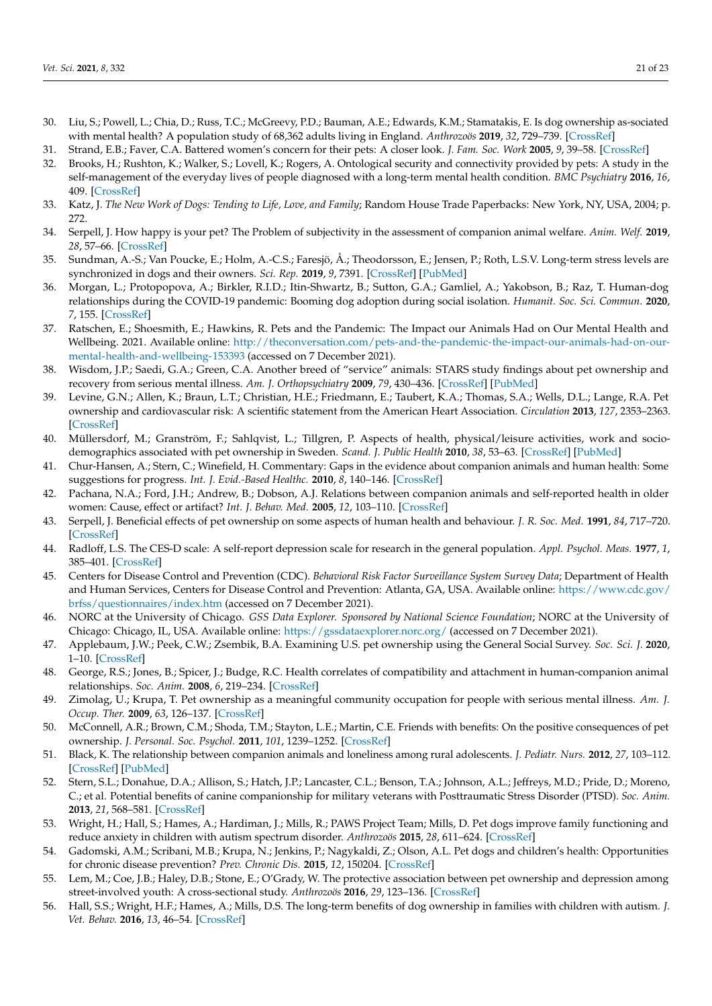- <span id="page-20-27"></span><span id="page-20-26"></span><span id="page-20-0"></span>30. Liu, S.; Powell, L.; Chia, D.; Russ, T.C.; McGreevy, P.D.; Bauman, A.E.; Edwards, K.M.; Stamatakis, E. Is dog ownership as-sociated with mental health? A population study of 68,362 adults living in England. *Anthrozoös* **2019**, *32*, 729–739. [\[CrossRef\]](http://doi.org/10.1080/08927936.2019.1673033)
- <span id="page-20-28"></span><span id="page-20-1"></span>31. Strand, E.B.; Faver, C.A. Battered women's concern for their pets: A closer look. *J. Fam. Soc. Work* **2005**, *9*, 39–58. [\[CrossRef\]](http://doi.org/10.1300/J039v09n04_04)
- <span id="page-20-2"></span>32. Brooks, H.; Rushton, K.; Walker, S.; Lovell, K.; Rogers, A. Ontological security and connectivity provided by pets: A study in the self-management of the everyday lives of people diagnosed with a long-term mental health condition. *BMC Psychiatry* **2016**, *16*, 409. [\[CrossRef\]](http://doi.org/10.1186/s12888-016-1111-3)
- <span id="page-20-3"></span>33. Katz, J. *The New Work of Dogs: Tending to Life, Love, and Family*; Random House Trade Paperbacks: New York, NY, USA, 2004; p. 272.
- <span id="page-20-18"></span><span id="page-20-4"></span>34. Serpell, J. How happy is your pet? The Problem of subjectivity in the assessment of companion animal welfare. *Anim. Welf.* **2019**, *28*, 57–66. [\[CrossRef\]](http://doi.org/10.7120/09627286.28.1.057)
- <span id="page-20-5"></span>35. Sundman, A.-S.; Van Poucke, E.; Holm, A.-C.S.; Faresjö, Å.; Theodorsson, E.; Jensen, P.; Roth, L.S.V. Long-term stress levels are synchronized in dogs and their owners. *Sci. Rep.* **2019**, *9*, 7391. [\[CrossRef\]](http://doi.org/10.1038/s41598-019-43851-x) [\[PubMed\]](http://www.ncbi.nlm.nih.gov/pubmed/31171798)
- <span id="page-20-6"></span>36. Morgan, L.; Protopopova, A.; Birkler, R.I.D.; Itin-Shwartz, B.; Sutton, G.A.; Gamliel, A.; Yakobson, B.; Raz, T. Human-dog relationships during the COVID-19 pandemic: Booming dog adoption during social isolation. *Humanit. Soc. Sci. Commun.* **2020**, *7*, 155. [\[CrossRef\]](http://doi.org/10.1057/s41599-020-00649-x)
- <span id="page-20-7"></span>37. Ratschen, E.; Shoesmith, E.; Hawkins, R. Pets and the Pandemic: The Impact our Animals Had on Our Mental Health and Wellbeing. 2021. Available online: [http://theconversation.com/pets-and-the-pandemic-the-impact-our-animals-had-on-our](http://theconversation.com/pets-and-the-pandemic-the-impact-our-animals-had-on-our-mental-health-and-wellbeing-153393)[mental-health-and-wellbeing-153393](http://theconversation.com/pets-and-the-pandemic-the-impact-our-animals-had-on-our-mental-health-and-wellbeing-153393) (accessed on 7 December 2021).
- <span id="page-20-19"></span><span id="page-20-8"></span>38. Wisdom, J.P.; Saedi, G.A.; Green, C.A. Another breed of "service" animals: STARS study findings about pet ownership and recovery from serious mental illness. *Am. J. Orthopsychiatry* **2009**, *79*, 430–436. [\[CrossRef\]](http://doi.org/10.1037/a0016812) [\[PubMed\]](http://www.ncbi.nlm.nih.gov/pubmed/19839680)
- <span id="page-20-20"></span><span id="page-20-9"></span>39. Levine, G.N.; Allen, K.; Braun, L.T.; Christian, H.E.; Friedmann, E.; Taubert, K.A.; Thomas, S.A.; Wells, D.L.; Lange, R.A. Pet ownership and cardiovascular risk: A scientific statement from the American Heart Association. *Circulation* **2013**, *127*, 2353–2363. [\[CrossRef\]](http://doi.org/10.1161/CIR.0b013e31829201e1)
- <span id="page-20-21"></span><span id="page-20-10"></span>40. Müllersdorf, M.; Granström, F.; Sahlqvist, L.; Tillgren, P. Aspects of health, physical/leisure activities, work and sociodemographics associated with pet ownership in Sweden. *Scand. J. Public Health* **2010**, *38*, 53–63. [\[CrossRef\]](http://doi.org/10.1177/1403494809344358) [\[PubMed\]](http://www.ncbi.nlm.nih.gov/pubmed/19717574)
- <span id="page-20-22"></span><span id="page-20-11"></span>41. Chur-Hansen, A.; Stern, C.; Winefield, H. Commentary: Gaps in the evidence about companion animals and human health: Some suggestions for progress. *Int. J. Evid.-Based Healthc.* **2010**, *8*, 140–146. [\[CrossRef\]](http://doi.org/10.1111/j.1744-1609.2010.00176.x)
- <span id="page-20-23"></span><span id="page-20-12"></span>42. Pachana, N.A.; Ford, J.H.; Andrew, B.; Dobson, A.J. Relations between companion animals and self-reported health in older women: Cause, effect or artifact? *Int. J. Behav. Med.* **2005**, *12*, 103–110. [\[CrossRef\]](http://doi.org/10.1207/s15327558ijbm1202_8)
- <span id="page-20-13"></span>43. Serpell, J. Beneficial effects of pet ownership on some aspects of human health and behaviour. *J. R. Soc. Med.* **1991**, *84*, 717–720. [\[CrossRef\]](http://doi.org/10.1177/014107689108401208)
- <span id="page-20-14"></span>44. Radloff, L.S. The CES-D scale: A self-report depression scale for research in the general population. *Appl. Psychol. Meas.* **1977**, *1*, 385–401. [\[CrossRef\]](http://doi.org/10.1177/014662167700100306)
- <span id="page-20-24"></span><span id="page-20-15"></span>45. Centers for Disease Control and Prevention (CDC). *Behavioral Risk Factor Surveillance System Survey Data*; Department of Health and Human Services, Centers for Disease Control and Prevention: Atlanta, GA, USA. Available online: [https://www.cdc.gov/](https://www.cdc.gov/brfss/questionnaires/index.htm) [brfss/questionnaires/index.htm](https://www.cdc.gov/brfss/questionnaires/index.htm) (accessed on 7 December 2021).
- <span id="page-20-25"></span><span id="page-20-16"></span>46. NORC at the University of Chicago. *GSS Data Explorer. Sponsored by National Science Foundation*; NORC at the University of Chicago: Chicago, IL, USA. Available online: <https://gssdataexplorer.norc.org/> (accessed on 7 December 2021).
- <span id="page-20-17"></span>47. Applebaum, J.W.; Peek, C.W.; Zsembik, B.A. Examining U.S. pet ownership using the General Social Survey. *Soc. Sci. J.* **2020**, 1–10. [\[CrossRef\]](http://doi.org/10.1080/03623319.2020.1728507)
- 48. George, R.S.; Jones, B.; Spicer, J.; Budge, R.C. Health correlates of compatibility and attachment in human-companion animal relationships. *Soc. Anim.* **2008**, *6*, 219–234. [\[CrossRef\]](http://doi.org/10.1163/156853098X00168)
- 49. Zimolag, U.; Krupa, T. Pet ownership as a meaningful community occupation for people with serious mental illness. *Am. J. Occup. Ther.* **2009**, *63*, 126–137. [\[CrossRef\]](http://doi.org/10.5014/ajot.63.2.126)
- 50. McConnell, A.R.; Brown, C.M.; Shoda, T.M.; Stayton, L.E.; Martin, C.E. Friends with benefits: On the positive consequences of pet ownership. *J. Personal. Soc. Psychol.* **2011**, *101*, 1239–1252. [\[CrossRef\]](http://doi.org/10.1037/a0024506)
- 51. Black, K. The relationship between companion animals and loneliness among rural adolescents. *J. Pediatr. Nurs.* **2012**, *27*, 103–112. [\[CrossRef\]](http://doi.org/10.1016/j.pedn.2010.11.009) [\[PubMed\]](http://www.ncbi.nlm.nih.gov/pubmed/22341188)
- 52. Stern, S.L.; Donahue, D.A.; Allison, S.; Hatch, J.P.; Lancaster, C.L.; Benson, T.A.; Johnson, A.L.; Jeffreys, M.D.; Pride, D.; Moreno, C.; et al. Potential benefits of canine companionship for military veterans with Posttraumatic Stress Disorder (PTSD). *Soc. Anim.* **2013**, *21*, 568–581. [\[CrossRef\]](http://doi.org/10.1163/15685306-12341286)
- 53. Wright, H.; Hall, S.; Hames, A.; Hardiman, J.; Mills, R.; PAWS Project Team; Mills, D. Pet dogs improve family functioning and reduce anxiety in children with autism spectrum disorder. *Anthrozoös* **2015**, *28*, 611–624. [\[CrossRef\]](http://doi.org/10.1080/08927936.2015.1070003)
- 54. Gadomski, A.M.; Scribani, M.B.; Krupa, N.; Jenkins, P.; Nagykaldi, Z.; Olson, A.L. Pet dogs and children's health: Opportunities for chronic disease prevention? *Prev. Chronic Dis.* **2015**, *12*, 150204. [\[CrossRef\]](http://doi.org/10.5888/pcd12.150204)
- 55. Lem, M.; Coe, J.B.; Haley, D.B.; Stone, E.; O'Grady, W. The protective association between pet ownership and depression among street-involved youth: A cross-sectional study. *Anthrozoös* **2016**, *29*, 123–136. [\[CrossRef\]](http://doi.org/10.1080/08927936.2015.1082772)
- 56. Hall, S.S.; Wright, H.F.; Hames, A.; Mills, D.S. The long-term benefits of dog ownership in families with children with autism. *J. Vet. Behav.* **2016**, *13*, 46–54. [\[CrossRef\]](http://doi.org/10.1016/j.jveb.2016.04.003)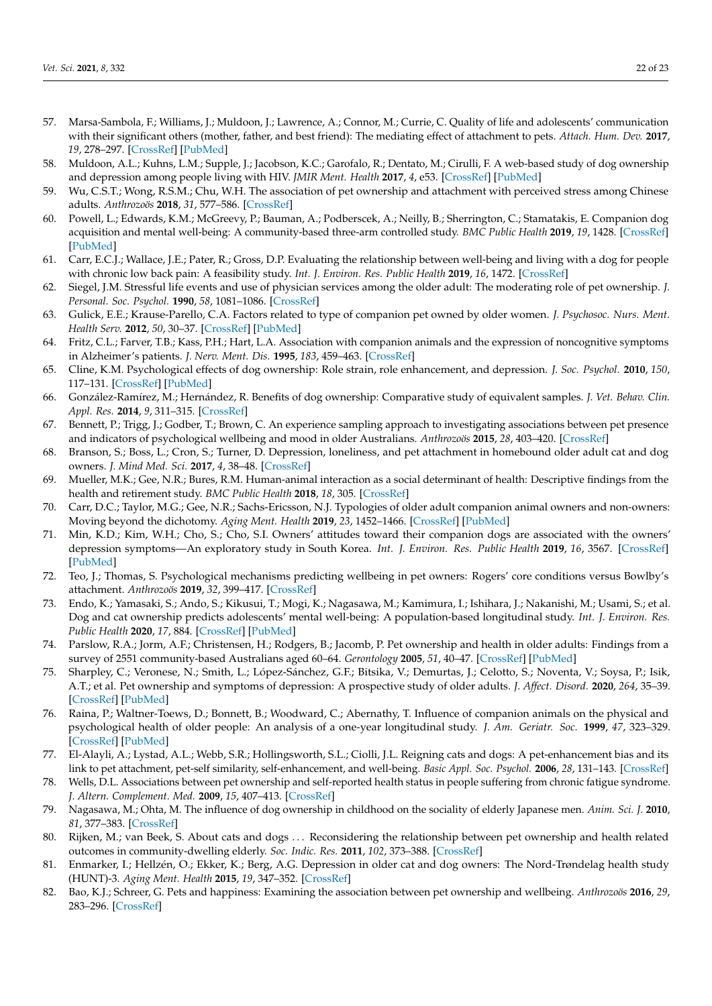- <span id="page-21-10"></span><span id="page-21-9"></span><span id="page-21-8"></span><span id="page-21-7"></span><span id="page-21-6"></span><span id="page-21-5"></span><span id="page-21-4"></span><span id="page-21-3"></span><span id="page-21-2"></span><span id="page-21-1"></span><span id="page-21-0"></span>57. Marsa-Sambola, F.; Williams, J.; Muldoon, J.; Lawrence, A.; Connor, M.; Currie, C. Quality of life and adolescents' communication with their significant others (mother, father, and best friend): The mediating effect of attachment to pets. *Attach. Hum. Dev.* **2017**, *19*, 278–297. [\[CrossRef\]](http://doi.org/10.1080/14616734.2017.1293702) [\[PubMed\]](http://www.ncbi.nlm.nih.gov/pubmed/28277094)
- <span id="page-21-11"></span>58. Muldoon, A.L.; Kuhns, L.M.; Supple, J.; Jacobson, K.C.; Garofalo, R.; Dentato, M.; Cirulli, F. A web-based study of dog ownership and depression among people living with HIV. *JMIR Ment. Health* **2017**, *4*, e53. [\[CrossRef\]](http://doi.org/10.2196/mental.8180) [\[PubMed\]](http://www.ncbi.nlm.nih.gov/pubmed/29117933)
- <span id="page-21-12"></span>59. Wu, C.S.T.; Wong, R.S.M.; Chu, W.H. The association of pet ownership and attachment with perceived stress among Chinese adults. *Anthrozoös* **2018**, *31*, 577–586. [\[CrossRef\]](http://doi.org/10.1080/08927936.2018.1505269)
- <span id="page-21-14"></span><span id="page-21-13"></span>60. Powell, L.; Edwards, K.M.; McGreevy, P.; Bauman, A.; Podberscek, A.; Neilly, B.; Sherrington, C.; Stamatakis, E. Companion dog acquisition and mental well-being: A community-based three-arm controlled study. *BMC Public Health* **2019**, *19*, 1428. [\[CrossRef\]](http://doi.org/10.1186/s12889-019-7770-5) [\[PubMed\]](http://www.ncbi.nlm.nih.gov/pubmed/31684914)
- 61. Carr, E.C.J.; Wallace, J.E.; Pater, R.; Gross, D.P. Evaluating the relationship between well-being and living with a dog for people with chronic low back pain: A feasibility study. *Int. J. Environ. Res. Public Health* **2019**, *16*, 1472. [\[CrossRef\]](http://doi.org/10.3390/ijerph16081472)
- <span id="page-21-15"></span>62. Siegel, J.M. Stressful life events and use of physician services among the older adult: The moderating role of pet ownership. *J. Personal. Soc. Psychol.* **1990**, *58*, 1081–1086. [\[CrossRef\]](http://doi.org/10.1037/0022-3514.58.6.1081)
- <span id="page-21-16"></span>63. Gulick, E.E.; Krause-Parello, C.A. Factors related to type of companion pet owned by older women. *J. Psychosoc. Nurs. Ment. Health Serv.* **2012**, *50*, 30–37. [\[CrossRef\]](http://doi.org/10.3928/02793695-20121003-01) [\[PubMed\]](http://www.ncbi.nlm.nih.gov/pubmed/23066827)
- <span id="page-21-17"></span>64. Fritz, C.L.; Farver, T.B.; Kass, P.H.; Hart, L.A. Association with companion animals and the expression of noncognitive symptoms in Alzheimer's patients. *J. Nerv. Ment. Dis.* **1995**, *183*, 459–463. [\[CrossRef\]](http://doi.org/10.1097/00005053-199507000-00006)
- 65. Cline, K.M. Psychological effects of dog ownership: Role strain, role enhancement, and depression. *J. Soc. Psychol.* **2010**, *150*, 117–131. [\[CrossRef\]](http://doi.org/10.1080/00224540903368533) [\[PubMed\]](http://www.ncbi.nlm.nih.gov/pubmed/20397589)
- 66. González-Ramírez, M.; Hernández, R. Benefits of dog ownership: Comparative study of equivalent samples. *J. Vet. Behav. Clin. Appl. Res.* **2014**, *9*, 311–315. [\[CrossRef\]](http://doi.org/10.1016/j.jveb.2014.08.002)
- <span id="page-21-18"></span>67. Bennett, P.; Trigg, J.; Godber, T.; Brown, C. An experience sampling approach to investigating associations between pet presence and indicators of psychological wellbeing and mood in older Australians. *Anthrozoös* **2015**, *28*, 403–420. [\[CrossRef\]](http://doi.org/10.1080/08927936.2015.1052266)
- <span id="page-21-19"></span>68. Branson, S.; Boss, L.; Cron, S.; Turner, D. Depression, loneliness, and pet attachment in homebound older adult cat and dog owners. *J. Mind Med. Sci.* **2017**, *4*, 38–48. [\[CrossRef\]](http://doi.org/10.22543/7674.41.P3848)
- <span id="page-21-20"></span>69. Mueller, M.K.; Gee, N.R.; Bures, R.M. Human-animal interaction as a social determinant of health: Descriptive findings from the health and retirement study. *BMC Public Health* **2018**, *18*, 305. [\[CrossRef\]](http://doi.org/10.1186/s12889-018-5188-0)
- <span id="page-21-21"></span>70. Carr, D.C.; Taylor, M.G.; Gee, N.R.; Sachs-Ericsson, N.J. Typologies of older adult companion animal owners and non-owners: Moving beyond the dichotomy. *Aging Ment. Health* **2019**, *23*, 1452–1466. [\[CrossRef\]](http://doi.org/10.1080/13607863.2018.1503999) [\[PubMed\]](http://www.ncbi.nlm.nih.gov/pubmed/30380913)
- <span id="page-21-22"></span>71. Min, K.D.; Kim, W.H.; Cho, S.; Cho, S.I. Owners' attitudes toward their companion dogs are associated with the owners' depression symptoms—An exploratory study in South Korea. *Int. J. Environ. Res. Public Health* **2019**, *16*, 3567. [\[CrossRef\]](http://doi.org/10.3390/ijerph16193567) [\[PubMed\]](http://www.ncbi.nlm.nih.gov/pubmed/31554230)
- <span id="page-21-23"></span>72. Teo, J.; Thomas, S. Psychological mechanisms predicting wellbeing in pet owners: Rogers' core conditions versus Bowlby's attachment. *Anthrozoös* **2019**, *32*, 399–417. [\[CrossRef\]](http://doi.org/10.1080/08927936.2019.1598660)
- <span id="page-21-24"></span>73. Endo, K.; Yamasaki, S.; Ando, S.; Kikusui, T.; Mogi, K.; Nagasawa, M.; Kamimura, I.; Ishihara, J.; Nakanishi, M.; Usami, S.; et al. Dog and cat ownership predicts adolescents' mental well-being: A population-based longitudinal study. *Int. J. Environ. Res. Public Health* **2020**, *17*, 884. [\[CrossRef\]](http://doi.org/10.3390/ijerph17030884) [\[PubMed\]](http://www.ncbi.nlm.nih.gov/pubmed/32023841)
- 74. Parslow, R.A.; Jorm, A.F.; Christensen, H.; Rodgers, B.; Jacomb, P. Pet ownership and health in older adults: Findings from a survey of 2551 community-based Australians aged 60–64. *Gerontology* **2005**, *51*, 40–47. [\[CrossRef\]](http://doi.org/10.1159/000081433) [\[PubMed\]](http://www.ncbi.nlm.nih.gov/pubmed/15591755)
- 75. Sharpley, C.; Veronese, N.; Smith, L.; López-Sánchez, G.F.; Bitsika, V.; Demurtas, J.; Celotto, S.; Noventa, V.; Soysa, P.; Isik, A.T.; et al. Pet ownership and symptoms of depression: A prospective study of older adults. *J. Affect. Disord.* **2020**, *264*, 35–39. [\[CrossRef\]](http://doi.org/10.1016/j.jad.2019.11.134) [\[PubMed\]](http://www.ncbi.nlm.nih.gov/pubmed/31846900)
- 76. Raina, P.; Waltner-Toews, D.; Bonnett, B.; Woodward, C.; Abernathy, T. Influence of companion animals on the physical and psychological health of older people: An analysis of a one-year longitudinal study. *J. Am. Geriatr. Soc.* **1999**, *47*, 323–329. [\[CrossRef\]](http://doi.org/10.1111/j.1532-5415.1999.tb02996.x) [\[PubMed\]](http://www.ncbi.nlm.nih.gov/pubmed/10078895)
- 77. El-Alayli, A.; Lystad, A.L.; Webb, S.R.; Hollingsworth, S.L.; Ciolli, J.L. Reigning cats and dogs: A pet-enhancement bias and its link to pet attachment, pet-self similarity, self-enhancement, and well-being. *Basic Appl. Soc. Psychol.* **2006**, *28*, 131–143. [\[CrossRef\]](http://doi.org/10.1207/s15324834basp2802_3)
- 78. Wells, D.L. Associations between pet ownership and self-reported health status in people suffering from chronic fatigue syndrome. *J. Altern. Complement. Med.* **2009**, *15*, 407–413. [\[CrossRef\]](http://doi.org/10.1089/acm.2008.0496)
- 79. Nagasawa, M.; Ohta, M. The influence of dog ownership in childhood on the sociality of elderly Japanese men. *Anim. Sci. J.* **2010**, *81*, 377–383. [\[CrossRef\]](http://doi.org/10.1111/j.1740-0929.2010.00741.x)
- 80. Rijken, M.; van Beek, S. About cats and dogs . . . Reconsidering the relationship between pet ownership and health related outcomes in community-dwelling elderly. *Soc. Indic. Res.* **2011**, *102*, 373–388. [\[CrossRef\]](http://doi.org/10.1007/s11205-010-9690-8)
- 81. Enmarker, I.; Hellzén, O.; Ekker, K.; Berg, A.G. Depression in older cat and dog owners: The Nord-Trøndelag health study (HUNT)-3. *Aging Ment. Health* **2015**, *19*, 347–352. [\[CrossRef\]](http://doi.org/10.1080/13607863.2014.933310)
- 82. Bao, K.J.; Schreer, G. Pets and happiness: Examining the association between pet ownership and wellbeing. *Anthrozoös* **2016**, *29*, 283–296. [\[CrossRef\]](http://doi.org/10.1080/08927936.2016.1152721)